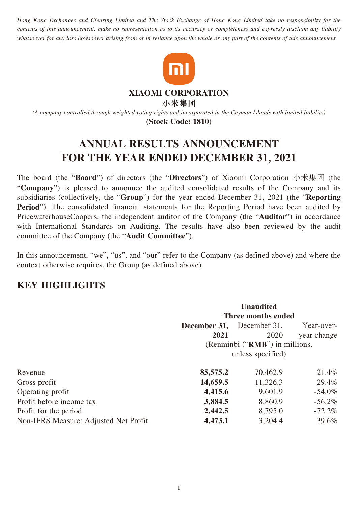*Hong Kong Exchanges and Clearing Limited and The Stock Exchange of Hong Kong Limited take no responsibility for the contents of this announcement, make no representation as to its accuracy or completeness and expressly disclaim any liability whatsoever for any loss howsoever arising from or in reliance upon the whole or any part of the contents of this announcement.*



**XIAOMI CORPORATION**

**小米集团**

*(A company controlled through weighted voting rights and incorporated in the Cayman Islands with limited liability)* **(Stock Code: 1810)**

# **ANNUAL RESULTS ANNOUNCEMENT FOR THE YEAR ENDED DECEMBER 31, 2021**

The board (the "**Board**") of directors (the "**Directors**") of Xiaomi Corporation 小米集团 (the "**Company**") is pleased to announce the audited consolidated results of the Company and its subsidiaries (collectively, the "**Group**") for the year ended December 31, 2021 (the "**Reporting Period**"). The consolidated financial statements for the Reporting Period have been audited by PricewaterhouseCoopers, the independent auditor of the Company (the "**Auditor**") in accordance with International Standards on Auditing. The results have also been reviewed by the audit committee of the Company (the "**Audit Committee**").

In this announcement, "we", "us", and "our" refer to the Company (as defined above) and where the context otherwise requires, the Group (as defined above).

# **KEY HIGHLIGHTS**

|                                       |                                | <b>Unaudited</b>  |             |  |  |
|---------------------------------------|--------------------------------|-------------------|-------------|--|--|
|                                       | Three months ended             |                   |             |  |  |
|                                       | December 31,                   | December 31,      | Year-over-  |  |  |
|                                       | 2021                           | 2020              | year change |  |  |
|                                       | (Renminbi ("RMB") in millions, |                   |             |  |  |
|                                       |                                | unless specified) |             |  |  |
| Revenue                               | 85,575.2                       | 70,462.9          | 21.4%       |  |  |
| Gross profit                          | 14,659.5                       | 11,326.3          | 29.4%       |  |  |
| Operating profit                      | 4,415.6                        | 9,601.9           | $-54.0\%$   |  |  |
| Profit before income tax              | 3,884.5                        | 8,860.9           | $-56.2\%$   |  |  |
| Profit for the period                 | 2,442.5                        | 8,795.0           | $-72.2\%$   |  |  |
| Non-IFRS Measure: Adjusted Net Profit | 4,473.1                        | 3,204.4           | 39.6%       |  |  |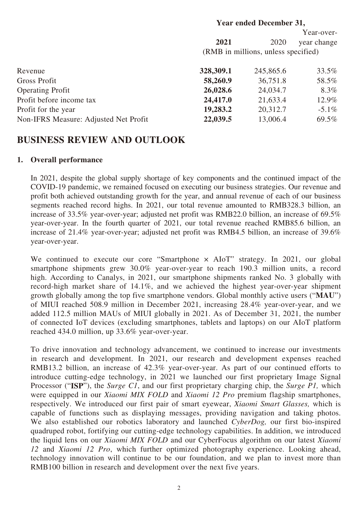# **Year ended December 31, 2021** 2020 Year-overyear change (RMB in millions, unless specified) Revenue **328,309.1** 245,865.6 33.5% Gross Profit 58,260.9 36,751.8 58.5% Operating Profit **26,028.6** 24,034.7 8.3% **Profit before income tax 24,417.0** 21,633.4 12.9% Profit for the year **19,283.2** 20,312.7 -5.1% Non-IFRS Measure: Adjusted Net Profit **22,039.5** 13,006.4 69.5%

# **BUSINESS REVIEW AND OUTLOOK**

### **1. Overall performance**

In 2021, despite the global supply shortage of key components and the continued impact of the COVID-19 pandemic, we remained focused on executing our business strategies. Our revenue and profit both achieved outstanding growth for the year, and annual revenue of each of our business segments reached record highs. In 2021, our total revenue amounted to RMB328.3 billion, an increase of 33.5% year-over-year; adjusted net profit was RMB22.0 billion, an increase of 69.5% year-over-year. In the fourth quarter of 2021, our total revenue reached RMB85.6 billion, an increase of 21.4% year-over-year; adjusted net profit was RMB4.5 billion, an increase of 39.6% year-over-year.

We continued to execute our core "Smartphone × AIoT" strategy. In 2021, our global smartphone shipments grew 30.0% year-over-year to reach 190.3 million units, a record high. According to Canalys, in 2021, our smartphone shipments ranked No. 3 globally with record-high market share of 14.1%, and we achieved the highest year-over-year shipment growth globally among the top five smartphone vendors. Global monthly active users ("**MAU**") of MIUI reached 508.9 million in December 2021, increasing 28.4% year-over-year, and we added 112.5 million MAUs of MIUI globally in 2021. As of December 31, 2021, the number of connected IoT devices (excluding smartphones, tablets and laptops) on our AIoT platform reached 434.0 million, up 33.6% year-over-year.

To drive innovation and technology advancement, we continued to increase our investments in research and development. In 2021, our research and development expenses reached RMB13.2 billion, an increase of 42.3% year-over-year. As part of our continued efforts to introduce cutting-edge technology, in 2021 we launched our first proprietary Image Signal Processor ("**ISP**"), the *Surge C1*, and our first proprietary charging chip, the *Surge P1,* which were equipped in our *Xiaomi MIX FOLD* and *Xiaomi 12 Pro* premium flagship smartphones, respectively. We introduced our first pair of smart eyewear, *Xiaomi Smart Glasses,* which is capable of functions such as displaying messages, providing navigation and taking photos. We also established our robotics laboratory and launched *CyberDog,* our first bio-inspired quadruped robot, fortifying our cutting-edge technology capabilities. In addition, we introduced the liquid lens on our *Xiaomi MIX FOLD* and our CyberFocus algorithm on our latest *Xiaomi 12* and *Xiaomi 12 Pro*, which further optimized photography experience. Looking ahead, technology innovation will continue to be our foundation, and we plan to invest more than RMB100 billion in research and development over the next five years.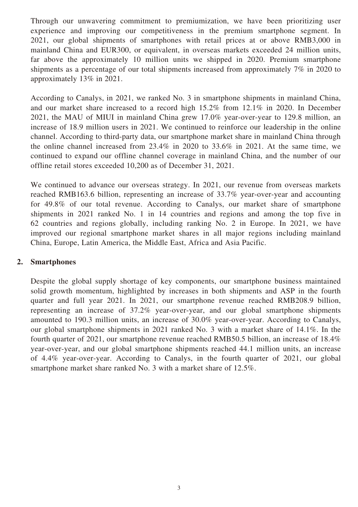Through our unwavering commitment to premiumization, we have been prioritizing user experience and improving our competitiveness in the premium smartphone segment. In 2021, our global shipments of smartphones with retail prices at or above RMB3,000 in mainland China and EUR300, or equivalent, in overseas markets exceeded 24 million units, far above the approximately 10 million units we shipped in 2020. Premium smartphone shipments as a percentage of our total shipments increased from approximately 7% in 2020 to approximately 13% in 2021.

According to Canalys, in 2021, we ranked No. 3 in smartphone shipments in mainland China, and our market share increased to a record high 15.2% from 12.1% in 2020. In December 2021, the MAU of MIUI in mainland China grew 17.0% year-over-year to 129.8 million, an increase of 18.9 million users in 2021. We continued to reinforce our leadership in the online channel. According to third-party data, our smartphone market share in mainland China through the online channel increased from 23.4% in 2020 to 33.6% in 2021. At the same time, we continued to expand our offline channel coverage in mainland China, and the number of our offline retail stores exceeded 10,200 as of December 31, 2021.

We continued to advance our overseas strategy. In 2021, our revenue from overseas markets reached RMB163.6 billion, representing an increase of 33.7% year-over-year and accounting for 49.8% of our total revenue. According to Canalys, our market share of smartphone shipments in 2021 ranked No. 1 in 14 countries and regions and among the top five in 62 countries and regions globally, including ranking No. 2 in Europe. In 2021, we have improved our regional smartphone market shares in all major regions including mainland China, Europe, Latin America, the Middle East, Africa and Asia Pacific.

### **2. Smartphones**

Despite the global supply shortage of key components, our smartphone business maintained solid growth momentum, highlighted by increases in both shipments and ASP in the fourth quarter and full year 2021. In 2021, our smartphone revenue reached RMB208.9 billion, representing an increase of 37.2% year-over-year, and our global smartphone shipments amounted to 190.3 million units, an increase of 30.0% year-over-year. According to Canalys, our global smartphone shipments in 2021 ranked No. 3 with a market share of 14.1%. In the fourth quarter of 2021, our smartphone revenue reached RMB50.5 billion, an increase of 18.4% year-over-year, and our global smartphone shipments reached 44.1 million units, an increase of 4.4% year-over-year. According to Canalys, in the fourth quarter of 2021, our global smartphone market share ranked No. 3 with a market share of 12.5%.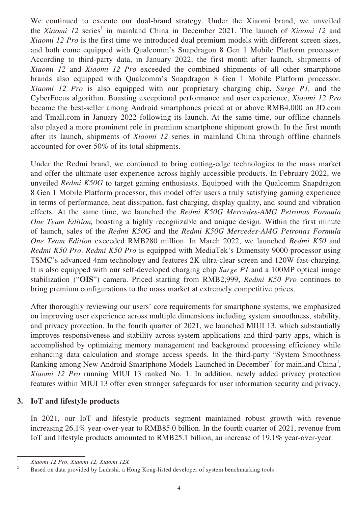We continued to execute our dual-brand strategy. Under the Xiaomi brand, we unveiled the *Xiaomi 12* series<sup>1</sup> in mainland China in December 2021. The launch of *Xiaomi 12* and *Xiaomi 12 Pro* is the first time we introduced dual premium models with different screen sizes, and both come equipped with Qualcomm's Snapdragon 8 Gen 1 Mobile Platform processor. According to third-party data, in January 2022, the first month after launch, shipments of *Xiaomi 12* and *Xiaomi 12 Pro* exceeded the combined shipments of all other smartphone brands also equipped with Qualcomm's Snapdragon 8 Gen 1 Mobile Platform processor. *Xiaomi 12 Pro* is also equipped with our proprietary charging chip, *Surge P1,* and the CyberFocus algorithm. Boasting exceptional performance and user experience, *Xiaomi 12 Pro* became the best-seller among Android smartphones priced at or above RMB4,000 on JD.com and Tmall.com in January 2022 following its launch. At the same time, our offline channels also played a more prominent role in premium smartphone shipment growth. In the first month after its launch, shipments of *Xiaomi 12* series in mainland China through offline channels accounted for over 50% of its total shipments.

Under the Redmi brand, we continued to bring cutting-edge technologies to the mass market and offer the ultimate user experience across highly accessible products. In February 2022, we unveiled *Redmi K50G* to target gaming enthusiasts. Equipped with the Qualcomm Snapdragon 8 Gen 1 Mobile Platform processor, this model offer users a truly satisfying gaming experience in terms of performance, heat dissipation, fast charging, display quality, and sound and vibration effects. At the same time, we launched the *Redmi K50G Mercedes-AMG Petronas Formula One Team Edition,* boasting a highly recognizable and unique design. Within the first minute of launch, sales of the *Redmi K50G* and the *Redmi K50G Mercedes-AMG Petronas Formula One Team Edition* exceeded RMB280 million. In March 2022, we launched *Redmi K50* and *Redmi K50 Pro*. *Redmi K50 Pro* is equipped with MediaTek's Dimensity 9000 processor using TSMC's advanced 4nm technology and features 2K ultra-clear screen and 120W fast-charging. It is also equipped with our self-developed charging chip *Surge P1* and a 100MP optical image stabilization ("**OIS**") camera. Priced starting from RMB2,999, *Redmi K50 Pro* continues to bring premium configurations to the mass market at extremely competitive prices.

After thoroughly reviewing our users' core requirements for smartphone systems, we emphasized on improving user experience across multiple dimensions including system smoothness, stability, and privacy protection. In the fourth quarter of 2021, we launched MIUI 13, which substantially improves responsiveness and stability across system applications and third-party apps, which is accomplished by optimizing memory management and background processing efficiency while enhancing data calculation and storage access speeds. In the third-party "System Smoothness Ranking among New Android Smartphone Models Launched in December" for mainland China<sup>2</sup>, *Xiaomi 12 Pro* running MIUI 13 ranked No. 1. In addition, newly added privacy protection features within MIUI 13 offer even stronger safeguards for user information security and privacy.

### **3. IoT and lifestyle products**

In 2021, our IoT and lifestyle products segment maintained robust growth with revenue increasing 26.1% year-over-year to RMB85.0 billion. In the fourth quarter of 2021, revenue from IoT and lifestyle products amounted to RMB25.1 billion, an increase of 19.1% year-over-year.

<sup>1</sup> *Xiaomi 12 Pro, Xiaomi 12, Xiaomi 12X*

<sup>&</sup>lt;sup>2</sup> Based on data provided by Ludashi, a Hong Kong-listed developer of system benchmarking tools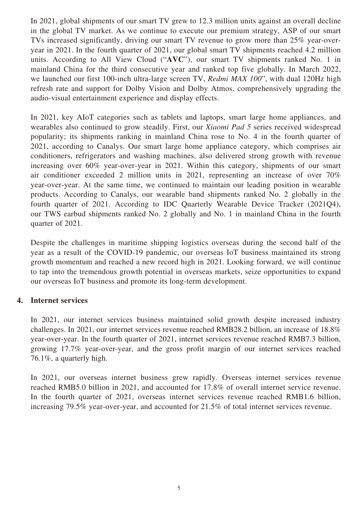In 2021, global shipments of our smart TV grew to 12.3 million units against an overall decline in the global TV market. As we continue to execute our premium strategy, ASP of our smart TVs increased significantly, driving our smart TV revenue to grow more than 25% year-overyear in 2021. In the fourth quarter of 2021, our global smart TV shipments reached 4.2 million units. According to All View Cloud ("**AVC**"), our smart TV shipments ranked No. 1 in mainland China for the third consecutive year and ranked top five globally. In March 2022, we launched our first 100-inch ultra-large screen TV, *Redmi MAX 100*", with dual 120Hz high refresh rate and support for Dolby Vision and Dolby Atmos, comprehensively upgrading the audio-visual entertainment experience and display effects.

In 2021, key AIoT categories such as tablets and laptops, smart large home appliances, and wearables also continued to grow steadily. First, our *Xiaomi Pad 5* series received widespread popularity; its shipments ranking in mainland China rose to No. 4 in the fourth quarter of 2021, according to Canalys. Our smart large home appliance category, which comprises air conditioners, refrigerators and washing machines, also delivered strong growth with revenue increasing over 60% year-over-year in 2021. Within this category, shipments of our smart air conditioner exceeded 2 million units in 2021, representing an increase of over 70% year-over-year. At the same time, we continued to maintain our leading position in wearable products. According to Canalys, our wearable band shipments ranked No. 2 globally in the fourth quarter of 2021. According to IDC Quarterly Wearable Device Tracker (2021Q4), our TWS earbud shipments ranked No. 2 globally and No. 1 in mainland China in the fourth quarter of 2021.

Despite the challenges in maritime shipping logistics overseas during the second half of the year as a result of the COVID-19 pandemic, our overseas IoT business maintained its strong growth momentum and reached a new record high in 2021. Looking forward, we will continue to tap into the tremendous growth potential in overseas markets, seize opportunities to expand our overseas IoT business and promote its long-term development.

### **4. Internet services**

In 2021, our internet services business maintained solid growth despite increased industry challenges. In 2021, our internet services revenue reached RMB28.2 billion, an increase of 18.8% year-over-year. In the fourth quarter of 2021, internet services revenue reached RMB7.3 billion, growing 17.7% year-over-year, and the gross profit margin of our internet services reached 76.1%, a quarterly high.

In 2021, our overseas internet business grew rapidly. Overseas internet services revenue reached RMB5.0 billion in 2021, and accounted for 17.8% of overall internet service revenue. In the fourth quarter of 2021, overseas internet services revenue reached RMB1.6 billion, increasing 79.5% year-over-year, and accounted for 21.5% of total internet services revenue.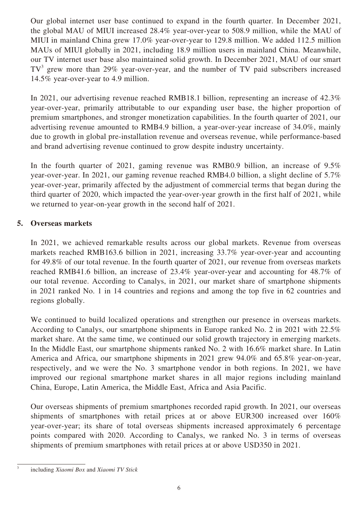Our global internet user base continued to expand in the fourth quarter. In December 2021, the global MAU of MIUI increased 28.4% year-over-year to 508.9 million, while the MAU of MIUI in mainland China grew 17.0% year-over-year to 129.8 million. We added 112.5 million MAUs of MIUI globally in 2021, including 18.9 million users in mainland China. Meanwhile, our TV internet user base also maintained solid growth. In December 2021, MAU of our smart  $TV<sup>3</sup>$  grew more than 29% year-over-year, and the number of TV paid subscribers increased 14.5% year-over-year to 4.9 million.

In 2021, our advertising revenue reached RMB18.1 billion, representing an increase of 42.3% year-over-year, primarily attributable to our expanding user base, the higher proportion of premium smartphones, and stronger monetization capabilities. In the fourth quarter of 2021, our advertising revenue amounted to RMB4.9 billion, a year-over-year increase of 34.0%, mainly due to growth in global pre-installation revenue and overseas revenue, while performance-based and brand advertising revenue continued to grow despite industry uncertainty.

In the fourth quarter of 2021, gaming revenue was RMB0.9 billion, an increase of 9.5% year-over-year. In 2021, our gaming revenue reached RMB4.0 billion, a slight decline of 5.7% year-over-year, primarily affected by the adjustment of commercial terms that began during the third quarter of 2020, which impacted the year-over-year growth in the first half of 2021, while we returned to year-on-year growth in the second half of 2021.

# **5. Overseas markets**

In 2021, we achieved remarkable results across our global markets. Revenue from overseas markets reached RMB163.6 billion in 2021, increasing 33.7% year-over-year and accounting for 49.8% of our total revenue. In the fourth quarter of 2021, our revenue from overseas markets reached RMB41.6 billion, an increase of 23.4% year-over-year and accounting for 48.7% of our total revenue. According to Canalys, in 2021, our market share of smartphone shipments in 2021 ranked No. 1 in 14 countries and regions and among the top five in 62 countries and regions globally.

We continued to build localized operations and strengthen our presence in overseas markets. According to Canalys, our smartphone shipments in Europe ranked No. 2 in 2021 with 22.5% market share. At the same time, we continued our solid growth trajectory in emerging markets. In the Middle East, our smartphone shipments ranked No. 2 with 16.6% market share. In Latin America and Africa, our smartphone shipments in 2021 grew 94.0% and 65.8% year-on-year, respectively, and we were the No. 3 smartphone vendor in both regions. In 2021, we have improved our regional smartphone market shares in all major regions including mainland China, Europe, Latin America, the Middle East, Africa and Asia Pacific.

Our overseas shipments of premium smartphones recorded rapid growth. In 2021, our overseas shipments of smartphones with retail prices at or above EUR300 increased over 160% year-over-year; its share of total overseas shipments increased approximately 6 percentage points compared with 2020. According to Canalys, we ranked No. 3 in terms of overseas shipments of premium smartphones with retail prices at or above USD350 in 2021.

<sup>3</sup> including *Xiaomi Box* and *Xiaomi TV Stick*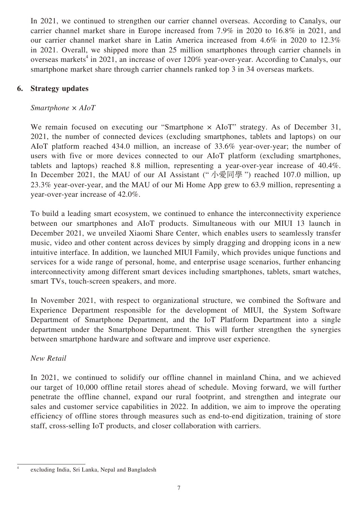In 2021, we continued to strengthen our carrier channel overseas. According to Canalys, our carrier channel market share in Europe increased from 7.9% in 2020 to 16.8% in 2021, and our carrier channel market share in Latin America increased from 4.6% in 2020 to 12.3% in 2021. Overall, we shipped more than 25 million smartphones through carrier channels in overseas markets<sup>4</sup> in 2021, an increase of over 120% year-over-year. According to Canalys, our smartphone market share through carrier channels ranked top 3 in 34 overseas markets.

# **6. Strategy updates**

# *Smartphone × AIoT*

We remain focused on executing our "Smartphone  $\times$  AIoT" strategy. As of December 31, 2021, the number of connected devices (excluding smartphones, tablets and laptops) on our AIoT platform reached 434.0 million, an increase of 33.6% year-over-year; the number of users with five or more devices connected to our AIoT platform (excluding smartphones, tablets and laptops) reached 8.8 million, representing a year-over-year increase of 40.4%. In December 2021, the MAU of our AI Assistant (" 小愛同學 ") reached 107.0 million, up 23.3% year-over-year, and the MAU of our Mi Home App grew to 63.9 million, representing a year-over-year increase of 42.0%.

To build a leading smart ecosystem, we continued to enhance the interconnectivity experience between our smartphones and AIoT products. Simultaneous with our MIUI 13 launch in December 2021, we unveiled Xiaomi Share Center, which enables users to seamlessly transfer music, video and other content across devices by simply dragging and dropping icons in a new intuitive interface. In addition, we launched MIUI Family, which provides unique functions and services for a wide range of personal, home, and enterprise usage scenarios, further enhancing interconnectivity among different smart devices including smartphones, tablets, smart watches, smart TVs, touch-screen speakers, and more.

In November 2021, with respect to organizational structure, we combined the Software and Experience Department responsible for the development of MIUI, the System Software Department of Smartphone Department, and the IoT Platform Department into a single department under the Smartphone Department. This will further strengthen the synergies between smartphone hardware and software and improve user experience.

# *New Retail*

In 2021, we continued to solidify our offline channel in mainland China, and we achieved our target of 10,000 offline retail stores ahead of schedule. Moving forward, we will further penetrate the offline channel, expand our rural footprint, and strengthen and integrate our sales and customer service capabilities in 2022. In addition, we aim to improve the operating efficiency of offline stores through measures such as end-to-end digitization, training of store staff, cross-selling IoT products, and closer collaboration with carriers.

excluding India, Sri Lanka, Nepal and Bangladesh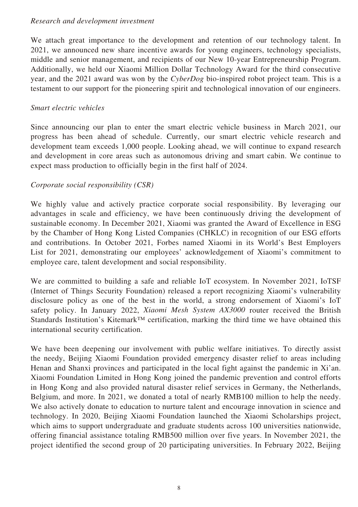### *Research and development investment*

We attach great importance to the development and retention of our technology talent. In 2021, we announced new share incentive awards for young engineers, technology specialists, middle and senior management, and recipients of our New 10-year Entrepreneurship Program. Additionally, we held our Xiaomi Million Dollar Technology Award for the third consecutive year, and the 2021 award was won by the *CyberDog* bio-inspired robot project team. This is a testament to our support for the pioneering spirit and technological innovation of our engineers.

### *Smart electric vehicles*

Since announcing our plan to enter the smart electric vehicle business in March 2021, our progress has been ahead of schedule. Currently, our smart electric vehicle research and development team exceeds 1,000 people. Looking ahead, we will continue to expand research and development in core areas such as autonomous driving and smart cabin. We continue to expect mass production to officially begin in the first half of 2024.

# *Corporate social responsibility (CSR)*

We highly value and actively practice corporate social responsibility. By leveraging our advantages in scale and efficiency, we have been continuously driving the development of sustainable economy. In December 2021, Xiaomi was granted the Award of Excellence in ESG by the Chamber of Hong Kong Listed Companies (CHKLC) in recognition of our ESG efforts and contributions. In October 2021, Forbes named Xiaomi in its World's Best Employers List for 2021, demonstrating our employees' acknowledgement of Xiaomi's commitment to employee care, talent development and social responsibility.

We are committed to building a safe and reliable IoT ecosystem. In November 2021, IoTSF (Internet of Things Security Foundation) released a report recognizing Xiaomi's vulnerability disclosure policy as one of the best in the world, a strong endorsement of Xiaomi's IoT safety policy. In January 2022, *Xiaomi Mesh System AX3000* router received the British Standards Institution's Kitemark™ certification, marking the third time we have obtained this international security certification.

We have been deepening our involvement with public welfare initiatives. To directly assist the needy, Beijing Xiaomi Foundation provided emergency disaster relief to areas including Henan and Shanxi provinces and participated in the local fight against the pandemic in Xi'an. Xiaomi Foundation Limited in Hong Kong joined the pandemic prevention and control efforts in Hong Kong and also provided natural disaster relief services in Germany, the Netherlands, Belgium, and more. In 2021, we donated a total of nearly RMB100 million to help the needy. We also actively donate to education to nurture talent and encourage innovation in science and technology. In 2020, Beijing Xiaomi Foundation launched the Xiaomi Scholarships project, which aims to support undergraduate and graduate students across 100 universities nationwide, offering financial assistance totaling RMB500 million over five years. In November 2021, the project identified the second group of 20 participating universities. In February 2022, Beijing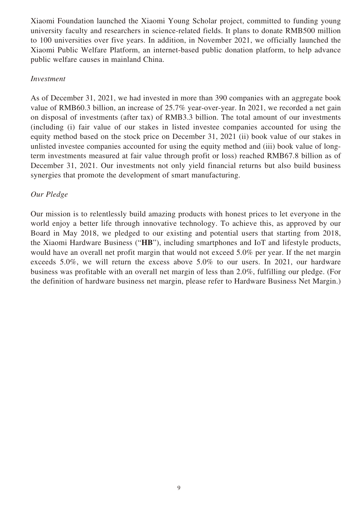Xiaomi Foundation launched the Xiaomi Young Scholar project, committed to funding young university faculty and researchers in science-related fields. It plans to donate RMB500 million to 100 universities over five years. In addition, in November 2021, we officially launched the Xiaomi Public Welfare Platform, an internet-based public donation platform, to help advance public welfare causes in mainland China.

#### *Investment*

As of December 31, 2021, we had invested in more than 390 companies with an aggregate book value of RMB60.3 billion, an increase of 25.7% year-over-year. In 2021, we recorded a net gain on disposal of investments (after tax) of RMB3.3 billion. The total amount of our investments (including (i) fair value of our stakes in listed investee companies accounted for using the equity method based on the stock price on December 31, 2021 (ii) book value of our stakes in unlisted investee companies accounted for using the equity method and (iii) book value of longterm investments measured at fair value through profit or loss) reached RMB67.8 billion as of December 31, 2021. Our investments not only yield financial returns but also build business synergies that promote the development of smart manufacturing.

# *Our Pledge*

Our mission is to relentlessly build amazing products with honest prices to let everyone in the world enjoy a better life through innovative technology. To achieve this, as approved by our Board in May 2018, we pledged to our existing and potential users that starting from 2018, the Xiaomi Hardware Business ("**HB**"), including smartphones and IoT and lifestyle products, would have an overall net profit margin that would not exceed 5.0% per year. If the net margin exceeds 5.0%, we will return the excess above 5.0% to our users. In 2021, our hardware business was profitable with an overall net margin of less than 2.0%, fulfilling our pledge. (For the definition of hardware business net margin, please refer to Hardware Business Net Margin.)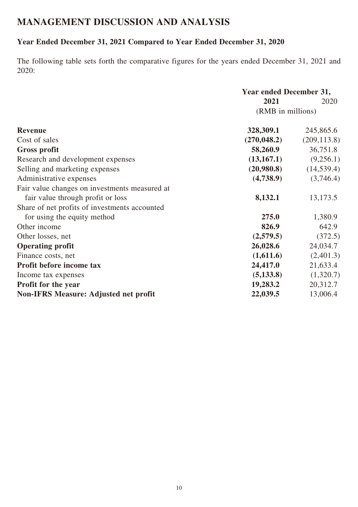# **MANAGEMENT DISCUSSION AND ANALYSIS**

# **Year Ended December 31, 2021 Compared to Year Ended December 31, 2020**

The following table sets forth the comparative figures for the years ended December 31, 2021 and 2020:

|                                               | <b>Year ended December 31,</b> |              |  |
|-----------------------------------------------|--------------------------------|--------------|--|
|                                               | 2021                           | 2020         |  |
|                                               | (RMB in millions)              |              |  |
| <b>Revenue</b>                                | 328,309.1                      | 245,865.6    |  |
| Cost of sales                                 | (270, 048.2)                   | (209, 113.8) |  |
| <b>Gross profit</b>                           | 58,260.9                       | 36,751.8     |  |
| Research and development expenses             | (13, 167.1)                    | (9,256.1)    |  |
| Selling and marketing expenses                | (20,980.8)                     | (14, 539.4)  |  |
| Administrative expenses                       | (4,738.9)                      | (3,746.4)    |  |
| Fair value changes on investments measured at |                                |              |  |
| fair value through profit or loss             | 8,132.1                        | 13,173.5     |  |
| Share of net profits of investments accounted |                                |              |  |
| for using the equity method                   | 275.0                          | 1,380.9      |  |
| Other income                                  | 826.9                          | 642.9        |  |
| Other losses, net                             | (2,579.5)                      | (372.5)      |  |
| <b>Operating profit</b>                       | 26,028.6                       | 24,034.7     |  |
| Finance costs, net                            | (1,611.6)                      | (2,401.3)    |  |
| Profit before income tax                      | 24,417.0                       | 21,633.4     |  |
| Income tax expenses                           | (5, 133.8)                     | (1,320.7)    |  |
| <b>Profit for the year</b>                    | 19,283.2                       | 20,312.7     |  |
| <b>Non-IFRS Measure: Adjusted net profit</b>  | 22,039.5                       | 13,006.4     |  |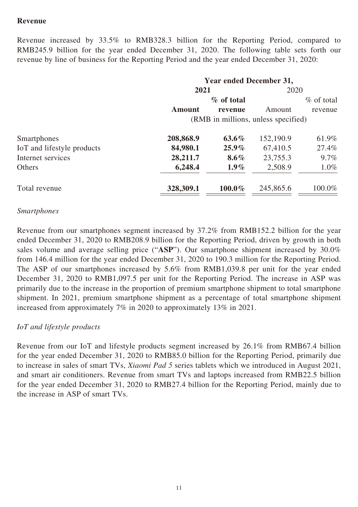# **Revenue**

Revenue increased by 33.5% to RMB328.3 billion for the Reporting Period, compared to RMB245.9 billion for the year ended December 31, 2020. The following table sets forth our revenue by line of business for the Reporting Period and the year ended December 31, 2020:

|                            | <b>Year ended December 31,</b> |                                     |           |               |
|----------------------------|--------------------------------|-------------------------------------|-----------|---------------|
|                            | 2021                           |                                     | 2020      |               |
|                            | % of total                     |                                     |           | $\%$ of total |
|                            | <b>Amount</b>                  | revenue                             | Amount    | revenue       |
|                            |                                | (RMB in millions, unless specified) |           |               |
| Smartphones                | 208,868.9                      | $63.6\%$                            | 152,190.9 | 61.9%         |
| IoT and lifestyle products | 84,980.1                       | $25.9\%$                            | 67,410.5  | 27.4%         |
| Internet services          | 28,211.7                       | $8.6\%$                             | 23,755.3  | $9.7\%$       |
| Others                     | 6,248.4                        | $1.9\%$                             | 2,508.9   | $1.0\%$       |
| Total revenue              | 328,309.1                      | $100.0\%$                           | 245,865.6 | 100.0%        |

#### *Smartphones*

Revenue from our smartphones segment increased by 37.2% from RMB152.2 billion for the year ended December 31, 2020 to RMB208.9 billion for the Reporting Period, driven by growth in both sales volume and average selling price ("**ASP**"). Our smartphone shipment increased by 30.0% from 146.4 million for the year ended December 31, 2020 to 190.3 million for the Reporting Period. The ASP of our smartphones increased by 5.6% from RMB1,039.8 per unit for the year ended December 31, 2020 to RMB1,097.5 per unit for the Reporting Period. The increase in ASP was primarily due to the increase in the proportion of premium smartphone shipment to total smartphone shipment. In 2021, premium smartphone shipment as a percentage of total smartphone shipment increased from approximately 7% in 2020 to approximately 13% in 2021.

### *IoT and lifestyle products*

Revenue from our IoT and lifestyle products segment increased by 26.1% from RMB67.4 billion for the year ended December 31, 2020 to RMB85.0 billion for the Reporting Period, primarily due to increase in sales of smart TVs, *Xiaomi Pad 5* series tablets which we introduced in August 2021, and smart air conditioners. Revenue from smart TVs and laptops increased from RMB22.5 billion for the year ended December 31, 2020 to RMB27.4 billion for the Reporting Period, mainly due to the increase in ASP of smart TVs.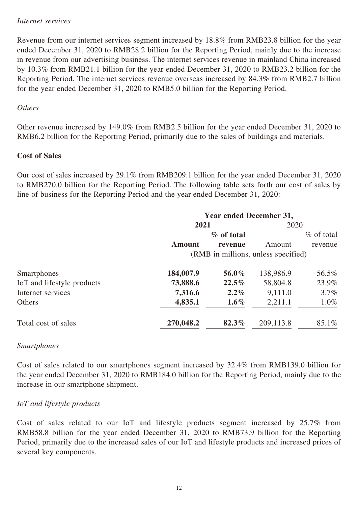#### *Internet services*

Revenue from our internet services segment increased by 18.8% from RMB23.8 billion for the year ended December 31, 2020 to RMB28.2 billion for the Reporting Period, mainly due to the increase in revenue from our advertising business. The internet services revenue in mainland China increased by 10.3% from RMB21.1 billion for the year ended December 31, 2020 to RMB23.2 billion for the Reporting Period. The internet services revenue overseas increased by 84.3% from RMB2.7 billion for the year ended December 31, 2020 to RMB5.0 billion for the Reporting Period.

### *Others*

Other revenue increased by 149.0% from RMB2.5 billion for the year ended December 31, 2020 to RMB6.2 billion for the Reporting Period, primarily due to the sales of buildings and materials.

### **Cost of Sales**

Our cost of sales increased by 29.1% from RMB209.1 billion for the year ended December 31, 2020 to RMB270.0 billion for the Reporting Period. The following table sets forth our cost of sales by line of business for the Reporting Period and the year ended December 31, 2020:

|                            | <b>Year ended December 31,</b>      |            |           |              |  |  |
|----------------------------|-------------------------------------|------------|-----------|--------------|--|--|
|                            | 2021                                |            | 2020      |              |  |  |
|                            |                                     | % of total |           | $%$ of total |  |  |
|                            | <b>Amount</b>                       | revenue    | Amount    | revenue      |  |  |
|                            | (RMB in millions, unless specified) |            |           |              |  |  |
| Smartphones                | 184,007.9                           | 56.0%      | 138,986.9 | 56.5%        |  |  |
| IoT and lifestyle products | 73,888.6                            | $22.5\%$   | 58,804.8  | 23.9%        |  |  |
| Internet services          | 7,316.6                             | $2.2\%$    | 9,111.0   | $3.7\%$      |  |  |
| Others                     | 4,835.1                             | $1.6\%$    | 2,211.1   | $1.0\%$      |  |  |
| Total cost of sales        | 270,048.2                           | 82.3%      | 209,113.8 | 85.1%        |  |  |

### *Smartphones*

Cost of sales related to our smartphones segment increased by 32.4% from RMB139.0 billion for the year ended December 31, 2020 to RMB184.0 billion for the Reporting Period, mainly due to the increase in our smartphone shipment.

# *IoT and lifestyle products*

Cost of sales related to our IoT and lifestyle products segment increased by 25.7% from RMB58.8 billion for the year ended December 31, 2020 to RMB73.9 billion for the Reporting Period, primarily due to the increased sales of our IoT and lifestyle products and increased prices of several key components.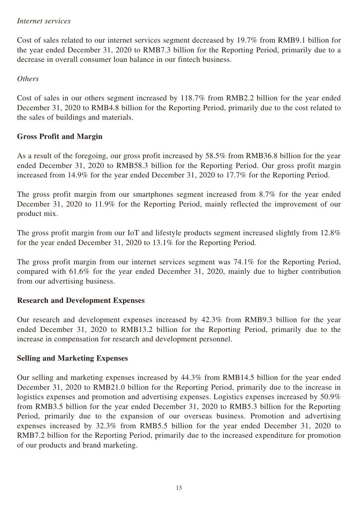### *Internet services*

Cost of sales related to our internet services segment decreased by 19.7% from RMB9.1 billion for the year ended December 31, 2020 to RMB7.3 billion for the Reporting Period, primarily due to a decrease in overall consumer loan balance in our fintech business.

# *Others*

Cost of sales in our others segment increased by 118.7% from RMB2.2 billion for the year ended December 31, 2020 to RMB4.8 billion for the Reporting Period, primarily due to the cost related to the sales of buildings and materials.

# **Gross Profit and Margin**

As a result of the foregoing, our gross profit increased by 58.5% from RMB36.8 billion for the year ended December 31, 2020 to RMB58.3 billion for the Reporting Period. Our gross profit margin increased from 14.9% for the year ended December 31, 2020 to 17.7% for the Reporting Period.

The gross profit margin from our smartphones segment increased from 8.7% for the year ended December 31, 2020 to 11.9% for the Reporting Period, mainly reflected the improvement of our product mix.

The gross profit margin from our IoT and lifestyle products segment increased slightly from 12.8% for the year ended December 31, 2020 to 13.1% for the Reporting Period.

The gross profit margin from our internet services segment was 74.1% for the Reporting Period, compared with 61.6% for the year ended December 31, 2020, mainly due to higher contribution from our advertising business.

# **Research and Development Expenses**

Our research and development expenses increased by 42.3% from RMB9.3 billion for the year ended December 31, 2020 to RMB13.2 billion for the Reporting Period, primarily due to the increase in compensation for research and development personnel.

# **Selling and Marketing Expenses**

Our selling and marketing expenses increased by 44.3% from RMB14.5 billion for the year ended December 31, 2020 to RMB21.0 billion for the Reporting Period, primarily due to the increase in logistics expenses and promotion and advertising expenses. Logistics expenses increased by 50.9% from RMB3.5 billion for the year ended December 31, 2020 to RMB5.3 billion for the Reporting Period, primarily due to the expansion of our overseas business. Promotion and advertising expenses increased by 32.3% from RMB5.5 billion for the year ended December 31, 2020 to RMB7.2 billion for the Reporting Period, primarily due to the increased expenditure for promotion of our products and brand marketing.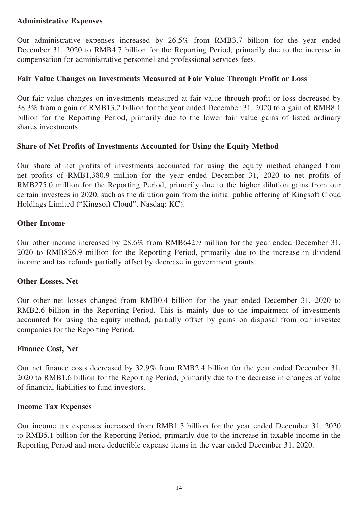# **Administrative Expenses**

Our administrative expenses increased by 26.5% from RMB3.7 billion for the year ended December 31, 2020 to RMB4.7 billion for the Reporting Period, primarily due to the increase in compensation for administrative personnel and professional services fees.

# **Fair Value Changes on Investments Measured at Fair Value Through Profit or Loss**

Our fair value changes on investments measured at fair value through profit or loss decreased by 38.3% from a gain of RMB13.2 billion for the year ended December 31, 2020 to a gain of RMB8.1 billion for the Reporting Period, primarily due to the lower fair value gains of listed ordinary shares investments.

# **Share of Net Profits of Investments Accounted for Using the Equity Method**

Our share of net profits of investments accounted for using the equity method changed from net profits of RMB1,380.9 million for the year ended December 31, 2020 to net profits of RMB275.0 million for the Reporting Period, primarily due to the higher dilution gains from our certain investees in 2020, such as the dilution gain from the initial public offering of Kingsoft Cloud Holdings Limited ("Kingsoft Cloud", Nasdaq: KC).

### **Other Income**

Our other income increased by 28.6% from RMB642.9 million for the year ended December 31, 2020 to RMB826.9 million for the Reporting Period, primarily due to the increase in dividend income and tax refunds partially offset by decrease in government grants.

### **Other Losses, Net**

Our other net losses changed from RMB0.4 billion for the year ended December 31, 2020 to RMB2.6 billion in the Reporting Period. This is mainly due to the impairment of investments accounted for using the equity method, partially offset by gains on disposal from our investee companies for the Reporting Period.

### **Finance Cost, Net**

Our net finance costs decreased by 32.9% from RMB2.4 billion for the year ended December 31, 2020 to RMB1.6 billion for the Reporting Period, primarily due to the decrease in changes of value of financial liabilities to fund investors.

### **Income Tax Expenses**

Our income tax expenses increased from RMB1.3 billion for the year ended December 31, 2020 to RMB5.1 billion for the Reporting Period, primarily due to the increase in taxable income in the Reporting Period and more deductible expense items in the year ended December 31, 2020.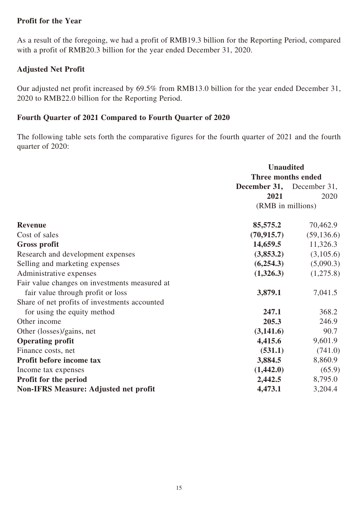### **Profit for the Year**

As a result of the foregoing, we had a profit of RMB19.3 billion for the Reporting Period, compared with a profit of RMB20.3 billion for the year ended December 31, 2020.

# **Adjusted Net Profit**

Our adjusted net profit increased by 69.5% from RMB13.0 billion for the year ended December 31, 2020 to RMB22.0 billion for the Reporting Period.

# **Fourth Quarter of 2021 Compared to Fourth Quarter of 2020**

The following table sets forth the comparative figures for the fourth quarter of 2021 and the fourth quarter of 2020:

|                                               | <b>Unaudited</b>                 |             |  |
|-----------------------------------------------|----------------------------------|-------------|--|
|                                               | Three months ended               |             |  |
|                                               | <b>December 31,</b> December 31, |             |  |
|                                               | 2021                             | 2020        |  |
|                                               | (RMB in millions)                |             |  |
| <b>Revenue</b>                                | 85,575.2                         | 70,462.9    |  |
| Cost of sales                                 | (70, 915.7)                      | (59, 136.6) |  |
| <b>Gross profit</b>                           | 14,659.5                         | 11,326.3    |  |
| Research and development expenses             | (3,853.2)                        | (3,105.6)   |  |
| Selling and marketing expenses                | (6,254.3)                        | (5,090.3)   |  |
| Administrative expenses                       | (1,326.3)                        | (1,275.8)   |  |
| Fair value changes on investments measured at |                                  |             |  |
| fair value through profit or loss             | 3,879.1                          | 7,041.5     |  |
| Share of net profits of investments accounted |                                  |             |  |
| for using the equity method                   | 247.1                            | 368.2       |  |
| Other income                                  | 205.3                            | 246.9       |  |
| Other (losses)/gains, net                     | (3,141.6)                        | 90.7        |  |
| <b>Operating profit</b>                       | 4,415.6                          | 9,601.9     |  |
| Finance costs, net                            | (531.1)                          | (741.0)     |  |
| Profit before income tax                      | 3,884.5                          | 8,860.9     |  |
| Income tax expenses                           | (1,442.0)                        | (65.9)      |  |
| Profit for the period                         | 2,442.5                          | 8,795.0     |  |
| <b>Non-IFRS Measure: Adjusted net profit</b>  | 4,473.1                          | 3,204.4     |  |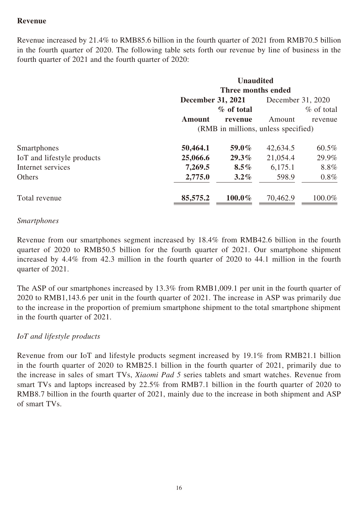# **Revenue**

Revenue increased by 21.4% to RMB85.6 billion in the fourth quarter of 2021 from RMB70.5 billion in the fourth quarter of 2020. The following table sets forth our revenue by line of business in the fourth quarter of 2021 and the fourth quarter of 2020:

| <b>Unaudited</b><br>Three months ended |            |                          |              |  |  |
|----------------------------------------|------------|--------------------------|--------------|--|--|
| December 31, 2020                      |            |                          |              |  |  |
|                                        | % of total |                          | $%$ of total |  |  |
| <b>Amount</b>                          | revenue    | Amount                   | revenue      |  |  |
| (RMB in millions, unless specified)    |            |                          |              |  |  |
| 50,464.1                               | 59.0%      | 42,634.5                 | 60.5%        |  |  |
| 25,066.6                               | $29.3\%$   | 21,054.4                 | 29.9%        |  |  |
| 7,269.5                                | $8.5\%$    | 6,175.1                  | 8.8%         |  |  |
| 2,775.0                                | $3.2\%$    | 598.9                    | $0.8\%$      |  |  |
| 85,575.2                               | $100.0\%$  | 70,462.9                 | 100.0%       |  |  |
|                                        |            | <b>December 31, 2021</b> |              |  |  |

### *Smartphones*

Revenue from our smartphones segment increased by 18.4% from RMB42.6 billion in the fourth quarter of 2020 to RMB50.5 billion for the fourth quarter of 2021. Our smartphone shipment increased by 4.4% from 42.3 million in the fourth quarter of 2020 to 44.1 million in the fourth quarter of 2021.

The ASP of our smartphones increased by 13.3% from RMB1,009.1 per unit in the fourth quarter of 2020 to RMB1,143.6 per unit in the fourth quarter of 2021. The increase in ASP was primarily due to the increase in the proportion of premium smartphone shipment to the total smartphone shipment in the fourth quarter of 2021.

### *IoT and lifestyle products*

Revenue from our IoT and lifestyle products segment increased by 19.1% from RMB21.1 billion in the fourth quarter of 2020 to RMB25.1 billion in the fourth quarter of 2021, primarily due to the increase in sales of smart TVs, *Xiaomi Pad 5* series tablets and smart watches. Revenue from smart TVs and laptops increased by 22.5% from RMB7.1 billion in the fourth quarter of 2020 to RMB8.7 billion in the fourth quarter of 2021, mainly due to the increase in both shipment and ASP of smart TVs.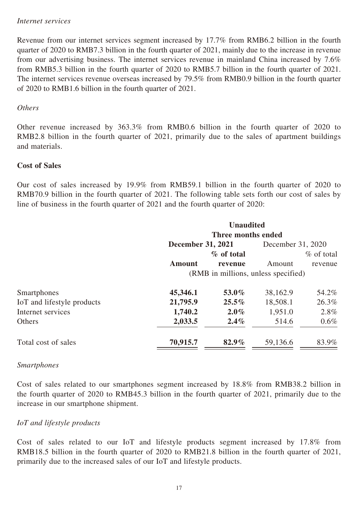#### *Internet services*

Revenue from our internet services segment increased by 17.7% from RMB6.2 billion in the fourth quarter of 2020 to RMB7.3 billion in the fourth quarter of 2021, mainly due to the increase in revenue from our advertising business. The internet services revenue in mainland China increased by 7.6% from RMB5.3 billion in the fourth quarter of 2020 to RMB5.7 billion in the fourth quarter of 2021. The internet services revenue overseas increased by 79.5% from RMB0.9 billion in the fourth quarter of 2020 to RMB1.6 billion in the fourth quarter of 2021.

### *Others*

Other revenue increased by 363.3% from RMB0.6 billion in the fourth quarter of 2020 to RMB2.8 billion in the fourth quarter of 2021, primarily due to the sales of apartment buildings and materials.

### **Cost of Sales**

Our cost of sales increased by 19.9% from RMB59.1 billion in the fourth quarter of 2020 to RMB70.9 billion in the fourth quarter of 2021. The following table sets forth our cost of sales by line of business in the fourth quarter of 2021 and the fourth quarter of 2020:

|                            | <b>Unaudited</b>                    |            |                   |              |  |
|----------------------------|-------------------------------------|------------|-------------------|--------------|--|
|                            | Three months ended                  |            |                   |              |  |
|                            | <b>December 31, 2021</b>            |            | December 31, 2020 |              |  |
|                            |                                     | % of total |                   | $%$ of total |  |
|                            | <b>Amount</b>                       | revenue    | Amount            | revenue      |  |
|                            | (RMB in millions, unless specified) |            |                   |              |  |
| Smartphones                | 45,346.1                            | 53.0%      | 38,162.9          | 54.2%        |  |
| IoT and lifestyle products | 21,795.9                            | $25.5\%$   | 18,508.1          | 26.3%        |  |
| Internet services          | 1,740.2                             | $2.0\%$    | 1,951.0           | $2.8\%$      |  |
| Others                     | 2,033.5                             | $2.4\%$    | 514.6             | $0.6\%$      |  |
| Total cost of sales        | 70,915.7                            | 82.9%      | 59,136.6          | 83.9%        |  |

#### *Smartphones*

Cost of sales related to our smartphones segment increased by 18.8% from RMB38.2 billion in the fourth quarter of 2020 to RMB45.3 billion in the fourth quarter of 2021, primarily due to the increase in our smartphone shipment.

### *IoT and lifestyle products*

Cost of sales related to our IoT and lifestyle products segment increased by 17.8% from RMB18.5 billion in the fourth quarter of 2020 to RMB21.8 billion in the fourth quarter of 2021, primarily due to the increased sales of our IoT and lifestyle products.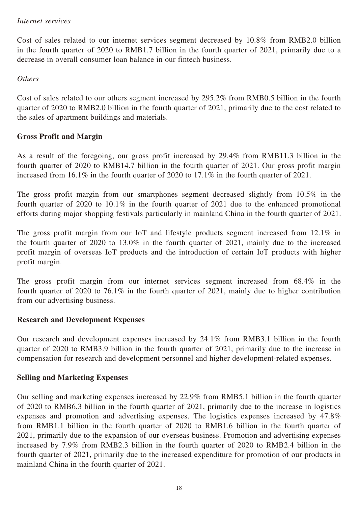### *Internet services*

Cost of sales related to our internet services segment decreased by 10.8% from RMB2.0 billion in the fourth quarter of 2020 to RMB1.7 billion in the fourth quarter of 2021, primarily due to a decrease in overall consumer loan balance in our fintech business.

*Others*

Cost of sales related to our others segment increased by 295.2% from RMB0.5 billion in the fourth quarter of 2020 to RMB2.0 billion in the fourth quarter of 2021, primarily due to the cost related to the sales of apartment buildings and materials.

# **Gross Profit and Margin**

As a result of the foregoing, our gross profit increased by 29.4% from RMB11.3 billion in the fourth quarter of 2020 to RMB14.7 billion in the fourth quarter of 2021. Our gross profit margin increased from 16.1% in the fourth quarter of 2020 to 17.1% in the fourth quarter of 2021.

The gross profit margin from our smartphones segment decreased slightly from 10.5% in the fourth quarter of 2020 to 10.1% in the fourth quarter of 2021 due to the enhanced promotional efforts during major shopping festivals particularly in mainland China in the fourth quarter of 2021.

The gross profit margin from our IoT and lifestyle products segment increased from 12.1% in the fourth quarter of 2020 to 13.0% in the fourth quarter of 2021, mainly due to the increased profit margin of overseas IoT products and the introduction of certain IoT products with higher profit margin.

The gross profit margin from our internet services segment increased from 68.4% in the fourth quarter of 2020 to 76.1% in the fourth quarter of 2021, mainly due to higher contribution from our advertising business.

### **Research and Development Expenses**

Our research and development expenses increased by 24.1% from RMB3.1 billion in the fourth quarter of 2020 to RMB3.9 billion in the fourth quarter of 2021, primarily due to the increase in compensation for research and development personnel and higher development-related expenses.

# **Selling and Marketing Expenses**

Our selling and marketing expenses increased by 22.9% from RMB5.1 billion in the fourth quarter of 2020 to RMB6.3 billion in the fourth quarter of 2021, primarily due to the increase in logistics expenses and promotion and advertising expenses. The logistics expenses increased by 47.8% from RMB1.1 billion in the fourth quarter of 2020 to RMB1.6 billion in the fourth quarter of 2021, primarily due to the expansion of our overseas business. Promotion and advertising expenses increased by 7.9% from RMB2.3 billion in the fourth quarter of 2020 to RMB2.4 billion in the fourth quarter of 2021, primarily due to the increased expenditure for promotion of our products in mainland China in the fourth quarter of 2021.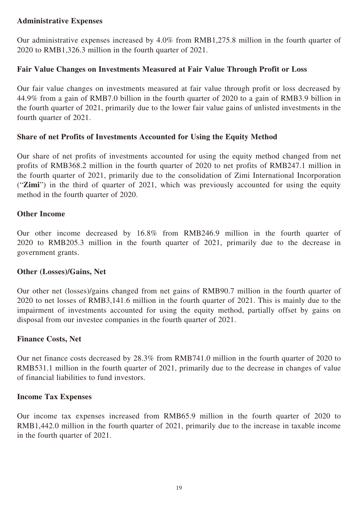# **Administrative Expenses**

Our administrative expenses increased by 4.0% from RMB1,275.8 million in the fourth quarter of 2020 to RMB1,326.3 million in the fourth quarter of 2021.

# **Fair Value Changes on Investments Measured at Fair Value Through Profit or Loss**

Our fair value changes on investments measured at fair value through profit or loss decreased by 44.9% from a gain of RMB7.0 billion in the fourth quarter of 2020 to a gain of RMB3.9 billion in the fourth quarter of 2021, primarily due to the lower fair value gains of unlisted investments in the fourth quarter of 2021.

# **Share of net Profits of Investments Accounted for Using the Equity Method**

Our share of net profits of investments accounted for using the equity method changed from net profits of RMB368.2 million in the fourth quarter of 2020 to net profits of RMB247.1 million in the fourth quarter of 2021, primarily due to the consolidation of Zimi International Incorporation ("**Zimi**") in the third of quarter of 2021, which was previously accounted for using the equity method in the fourth quarter of 2020.

# **Other Income**

Our other income decreased by 16.8% from RMB246.9 million in the fourth quarter of 2020 to RMB205.3 million in the fourth quarter of 2021, primarily due to the decrease in government grants.

### **Other (Losses)/Gains, Net**

Our other net (losses)/gains changed from net gains of RMB90.7 million in the fourth quarter of 2020 to net losses of RMB3,141.6 million in the fourth quarter of 2021. This is mainly due to the impairment of investments accounted for using the equity method, partially offset by gains on disposal from our investee companies in the fourth quarter of 2021.

### **Finance Costs, Net**

Our net finance costs decreased by 28.3% from RMB741.0 million in the fourth quarter of 2020 to RMB531.1 million in the fourth quarter of 2021, primarily due to the decrease in changes of value of financial liabilities to fund investors.

### **Income Tax Expenses**

Our income tax expenses increased from RMB65.9 million in the fourth quarter of 2020 to RMB1,442.0 million in the fourth quarter of 2021, primarily due to the increase in taxable income in the fourth quarter of 2021.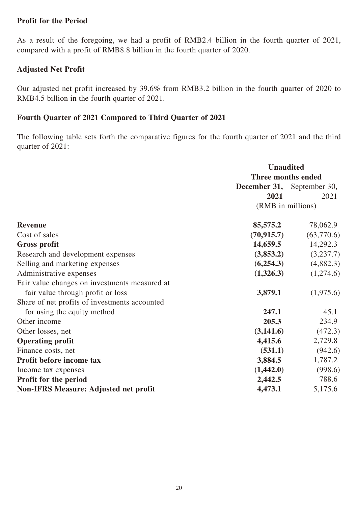### **Profit for the Period**

As a result of the foregoing, we had a profit of RMB2.4 billion in the fourth quarter of 2021, compared with a profit of RMB8.8 billion in the fourth quarter of 2020.

# **Adjusted Net Profit**

Our adjusted net profit increased by 39.6% from RMB3.2 billion in the fourth quarter of 2020 to RMB4.5 billion in the fourth quarter of 2021.

# **Fourth Quarter of 2021 Compared to Third Quarter of 2021**

The following table sets forth the comparative figures for the fourth quarter of 2021 and the third quarter of 2021:

|                                               | <b>Unaudited</b>   |                            |  |
|-----------------------------------------------|--------------------|----------------------------|--|
|                                               | Three months ended |                            |  |
|                                               |                    | December 31, September 30, |  |
|                                               | 2021               | 2021                       |  |
|                                               | (RMB in millions)  |                            |  |
| <b>Revenue</b>                                | 85,575.2           | 78,062.9                   |  |
| Cost of sales                                 | (70, 915.7)        | (63,770.6)                 |  |
| <b>Gross profit</b>                           | 14,659.5           | 14,292.3                   |  |
| Research and development expenses             | (3,853.2)          | (3,237.7)                  |  |
| Selling and marketing expenses                | (6,254.3)          | (4,882.3)                  |  |
| Administrative expenses                       | (1,326.3)          | (1,274.6)                  |  |
| Fair value changes on investments measured at |                    |                            |  |
| fair value through profit or loss             | 3,879.1            | (1,975.6)                  |  |
| Share of net profits of investments accounted |                    |                            |  |
| for using the equity method                   | 247.1              | 45.1                       |  |
| Other income                                  | 205.3              | 234.9                      |  |
| Other losses, net                             | (3,141.6)          | (472.3)                    |  |
| <b>Operating profit</b>                       | 4,415.6            | 2,729.8                    |  |
| Finance costs, net                            | (531.1)            | (942.6)                    |  |
| Profit before income tax                      | 3,884.5            | 1,787.2                    |  |
| Income tax expenses                           | (1,442.0)          | (998.6)                    |  |
| Profit for the period                         | 2,442.5            | 788.6                      |  |
| <b>Non-IFRS Measure: Adjusted net profit</b>  | 4,473.1            | 5,175.6                    |  |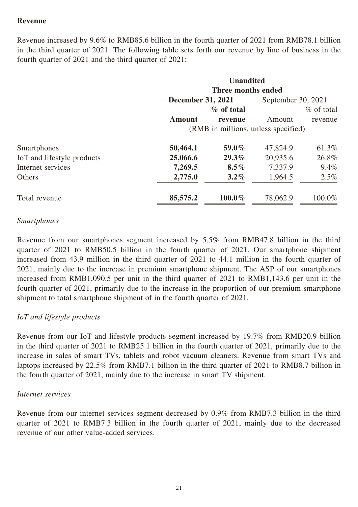# **Revenue**

Revenue increased by 9.6% to RMB85.6 billion in the fourth quarter of 2021 from RMB78.1 billion in the third quarter of 2021. The following table sets forth our revenue by line of business in the fourth quarter of 2021 and the third quarter of 2021:

|                            | <b>Unaudited</b><br>Three months ended |            |                    |               |
|----------------------------|----------------------------------------|------------|--------------------|---------------|
|                            |                                        |            |                    |               |
|                            | <b>December 31, 2021</b>               |            | September 30, 2021 |               |
|                            |                                        | % of total |                    | $\%$ of total |
|                            | <b>Amount</b>                          | revenue    | Amount             | revenue       |
|                            | (RMB in millions, unless specified)    |            |                    |               |
| Smartphones                | 50,464.1                               | 59.0%      | 47,824.9           | 61.3%         |
| IoT and lifestyle products | 25,066.6                               | 29.3%      | 20,935.6           | 26.8%         |
| Internet services          | 7,269.5                                | $8.5\%$    | 7,337.9            | $9.4\%$       |
| Others                     | 2,775.0                                | $3.2\%$    | 1,964.5            | $2.5\%$       |
| Total revenue              | 85,575.2                               | 100.0%     | 78,062.9           | 100.0%        |

#### *Smartphones*

Revenue from our smartphones segment increased by 5.5% from RMB47.8 billion in the third quarter of 2021 to RMB50.5 billion in the fourth quarter of 2021. Our smartphone shipment increased from 43.9 million in the third quarter of 2021 to 44.1 million in the fourth quarter of 2021, mainly due to the increase in premium smartphone shipment. The ASP of our smartphones increased from RMB1,090.5 per unit in the third quarter of 2021 to RMB1,143.6 per unit in the fourth quarter of 2021, primarily due to the increase in the proportion of our premium smartphone shipment to total smartphone shipment of in the fourth quarter of 2021.

### *IoT and lifestyle products*

Revenue from our IoT and lifestyle products segment increased by 19.7% from RMB20.9 billion in the third quarter of 2021 to RMB25.1 billion in the fourth quarter of 2021, primarily due to the increase in sales of smart TVs, tablets and robot vacuum cleaners. Revenue from smart TVs and laptops increased by 22.5% from RMB7.1 billion in the third quarter of 2021 to RMB8.7 billion in the fourth quarter of 2021, mainly due to the increase in smart TV shipment.

#### *Internet services*

Revenue from our internet services segment decreased by 0.9% from RMB7.3 billion in the third quarter of 2021 to RMB7.3 billion in the fourth quarter of 2021, mainly due to the decreased revenue of our other value-added services.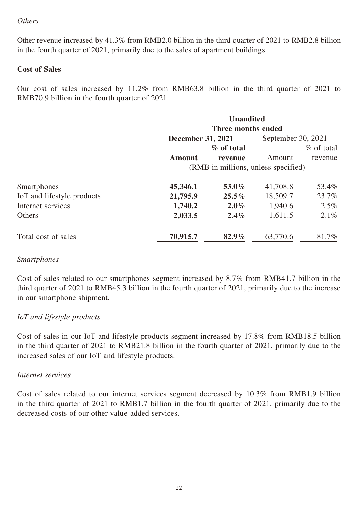### *Others*

Other revenue increased by 41.3% from RMB2.0 billion in the third quarter of 2021 to RMB2.8 billion in the fourth quarter of 2021, primarily due to the sales of apartment buildings.

### **Cost of Sales**

Our cost of sales increased by 11.2% from RMB63.8 billion in the third quarter of 2021 to RMB70.9 billion in the fourth quarter of 2021.

|                            |                                     | <b>Unaudited</b> |                    |              |
|----------------------------|-------------------------------------|------------------|--------------------|--------------|
|                            | Three months ended                  |                  |                    |              |
|                            | <b>December 31, 2021</b>            |                  | September 30, 2021 |              |
|                            |                                     | % of total       |                    | $%$ of total |
|                            | <b>Amount</b>                       | revenue          | Amount             | revenue      |
|                            | (RMB in millions, unless specified) |                  |                    |              |
| Smartphones                | 45,346.1                            | 53.0%            | 41,708.8           | 53.4%        |
| IoT and lifestyle products | 21,795.9                            | $25.5\%$         | 18,509.7           | 23.7%        |
| Internet services          | 1,740.2                             | $2.0\%$          | 1,940.6            | 2.5%         |
| <b>Others</b>              | 2,033.5                             | $2.4\%$          | 1,611.5            | $2.1\%$      |
| Total cost of sales        | 70,915.7                            | $82.9\%$         | 63,770.6           | 81.7%        |

### *Smartphones*

Cost of sales related to our smartphones segment increased by 8.7% from RMB41.7 billion in the third quarter of 2021 to RMB45.3 billion in the fourth quarter of 2021, primarily due to the increase in our smartphone shipment.

### *IoT and lifestyle products*

Cost of sales in our IoT and lifestyle products segment increased by 17.8% from RMB18.5 billion in the third quarter of 2021 to RMB21.8 billion in the fourth quarter of 2021, primarily due to the increased sales of our IoT and lifestyle products.

#### *Internet services*

Cost of sales related to our internet services segment decreased by 10.3% from RMB1.9 billion in the third quarter of 2021 to RMB1.7 billion in the fourth quarter of 2021, primarily due to the decreased costs of our other value-added services.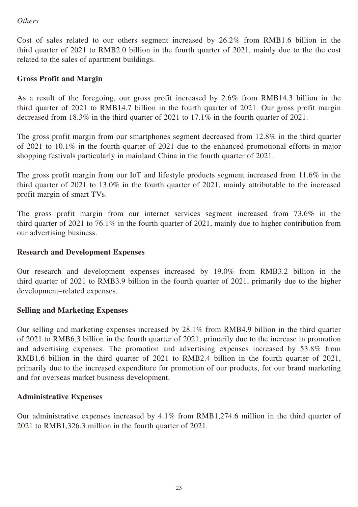# *Others*

Cost of sales related to our others segment increased by 26.2% from RMB1.6 billion in the third quarter of 2021 to RMB2.0 billion in the fourth quarter of 2021, mainly due to the the cost related to the sales of apartment buildings.

# **Gross Profit and Margin**

As a result of the foregoing, our gross profit increased by 2.6% from RMB14.3 billion in the third quarter of 2021 to RMB14.7 billion in the fourth quarter of 2021. Our gross profit margin decreased from 18.3% in the third quarter of 2021 to 17.1% in the fourth quarter of 2021.

The gross profit margin from our smartphones segment decreased from 12.8% in the third quarter of 2021 to 10.1% in the fourth quarter of 2021 due to the enhanced promotional efforts in major shopping festivals particularly in mainland China in the fourth quarter of 2021.

The gross profit margin from our IoT and lifestyle products segment increased from 11.6% in the third quarter of 2021 to 13.0% in the fourth quarter of 2021, mainly attributable to the increased profit margin of smart TVs.

The gross profit margin from our internet services segment increased from 73.6% in the third quarter of 2021 to 76.1% in the fourth quarter of 2021, mainly due to higher contribution from our advertising business.

# **Research and Development Expenses**

Our research and development expenses increased by 19.0% from RMB3.2 billion in the third quarter of 2021 to RMB3.9 billion in the fourth quarter of 2021, primarily due to the higher development–related expenses.

# **Selling and Marketing Expenses**

Our selling and marketing expenses increased by 28.1% from RMB4.9 billion in the third quarter of 2021 to RMB6.3 billion in the fourth quarter of 2021, primarily due to the increase in promotion and advertising expenses. The promotion and advertising expenses increased by 53.8% from RMB1.6 billion in the third quarter of 2021 to RMB2.4 billion in the fourth quarter of 2021, primarily due to the increased expenditure for promotion of our products, for our brand marketing and for overseas market business development.

### **Administrative Expenses**

Our administrative expenses increased by 4.1% from RMB1,274.6 million in the third quarter of 2021 to RMB1,326.3 million in the fourth quarter of 2021.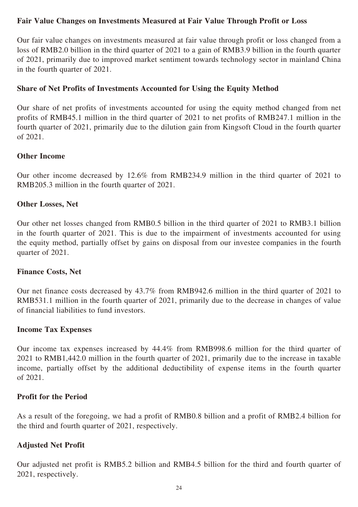# **Fair Value Changes on Investments Measured at Fair Value Through Profit or Loss**

Our fair value changes on investments measured at fair value through profit or loss changed from a loss of RMB2.0 billion in the third quarter of 2021 to a gain of RMB3.9 billion in the fourth quarter of 2021, primarily due to improved market sentiment towards technology sector in mainland China in the fourth quarter of 2021.

### **Share of Net Profits of Investments Accounted for Using the Equity Method**

Our share of net profits of investments accounted for using the equity method changed from net profits of RMB45.1 million in the third quarter of 2021 to net profits of RMB247.1 million in the fourth quarter of 2021, primarily due to the dilution gain from Kingsoft Cloud in the fourth quarter of 2021.

#### **Other Income**

Our other income decreased by 12.6% from RMB234.9 million in the third quarter of 2021 to RMB205.3 million in the fourth quarter of 2021.

### **Other Losses, Net**

Our other net losses changed from RMB0.5 billion in the third quarter of 2021 to RMB3.1 billion in the fourth quarter of 2021. This is due to the impairment of investments accounted for using the equity method, partially offset by gains on disposal from our investee companies in the fourth quarter of 2021.

### **Finance Costs, Net**

Our net finance costs decreased by 43.7% from RMB942.6 million in the third quarter of 2021 to RMB531.1 million in the fourth quarter of 2021, primarily due to the decrease in changes of value of financial liabilities to fund investors.

#### **Income Tax Expenses**

Our income tax expenses increased by 44.4% from RMB998.6 million for the third quarter of 2021 to RMB1,442.0 million in the fourth quarter of 2021, primarily due to the increase in taxable income, partially offset by the additional deductibility of expense items in the fourth quarter of 2021.

#### **Profit for the Period**

As a result of the foregoing, we had a profit of RMB0.8 billion and a profit of RMB2.4 billion for the third and fourth quarter of 2021, respectively.

### **Adjusted Net Profit**

Our adjusted net profit is RMB5.2 billion and RMB4.5 billion for the third and fourth quarter of 2021, respectively.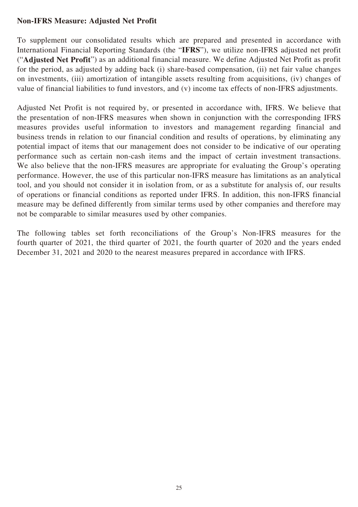# **Non-IFRS Measure: Adjusted Net Profit**

To supplement our consolidated results which are prepared and presented in accordance with International Financial Reporting Standards (the "**IFRS**"), we utilize non-IFRS adjusted net profit ("**Adjusted Net Profit**") as an additional financial measure. We define Adjusted Net Profit as profit for the period, as adjusted by adding back (i) share-based compensation, (ii) net fair value changes on investments, (iii) amortization of intangible assets resulting from acquisitions, (iv) changes of value of financial liabilities to fund investors, and (v) income tax effects of non-IFRS adjustments.

Adjusted Net Profit is not required by, or presented in accordance with, IFRS. We believe that the presentation of non-IFRS measures when shown in conjunction with the corresponding IFRS measures provides useful information to investors and management regarding financial and business trends in relation to our financial condition and results of operations, by eliminating any potential impact of items that our management does not consider to be indicative of our operating performance such as certain non-cash items and the impact of certain investment transactions. We also believe that the non-IFRS measures are appropriate for evaluating the Group's operating performance. However, the use of this particular non-IFRS measure has limitations as an analytical tool, and you should not consider it in isolation from, or as a substitute for analysis of, our results of operations or financial conditions as reported under IFRS. In addition, this non-IFRS financial measure may be defined differently from similar terms used by other companies and therefore may not be comparable to similar measures used by other companies.

The following tables set forth reconciliations of the Group's Non-IFRS measures for the fourth quarter of 2021, the third quarter of 2021, the fourth quarter of 2020 and the years ended December 31, 2021 and 2020 to the nearest measures prepared in accordance with IFRS.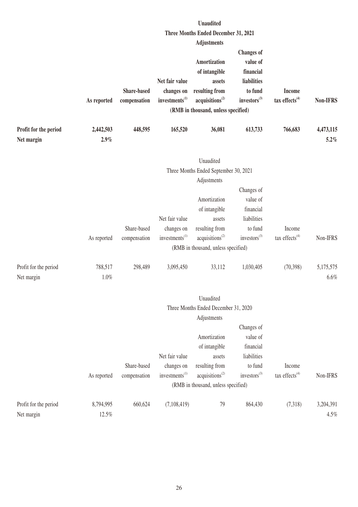|                                     |                   |                                    |                                                            | <b>Unaudited</b>                                                                                                                       |                                                                                                  |                                    |                      |
|-------------------------------------|-------------------|------------------------------------|------------------------------------------------------------|----------------------------------------------------------------------------------------------------------------------------------------|--------------------------------------------------------------------------------------------------|------------------------------------|----------------------|
|                                     |                   |                                    |                                                            | Three Months Ended December 31, 2021                                                                                                   |                                                                                                  |                                    |                      |
|                                     |                   |                                    |                                                            | <b>Adjustments</b>                                                                                                                     |                                                                                                  |                                    |                      |
|                                     | As reported       | <b>Share-based</b><br>compensation | Net fair value<br>changes on<br>investments <sup>(1)</sup> | <b>Amortization</b><br>of intangible<br>assets<br>resulting from<br>acquisitions <sup>(2)</sup><br>(RMB in thousand, unless specified) | <b>Changes</b> of<br>value of<br>financial<br>liabilities<br>to fund<br>investors <sup>(3)</sup> | <b>Income</b><br>tax effects $(4)$ | Non-IFRS             |
| Profit for the period<br>Net margin | 2,442,503<br>2.9% | 448,595                            | 165,520                                                    | 36,081                                                                                                                                 | 613,733                                                                                          | 766,683                            | 4,473,115<br>$5.2\%$ |
|                                     |                   |                                    |                                                            | Unaudited<br>Three Months Ended September 30, 2021                                                                                     |                                                                                                  |                                    |                      |
|                                     |                   |                                    |                                                            | Adjustments                                                                                                                            |                                                                                                  |                                    |                      |
|                                     |                   |                                    |                                                            |                                                                                                                                        | Changes of                                                                                       |                                    |                      |
|                                     |                   |                                    |                                                            | Amortization                                                                                                                           | value of                                                                                         |                                    |                      |
|                                     |                   |                                    |                                                            | of intangible                                                                                                                          | financial                                                                                        |                                    |                      |
|                                     |                   |                                    | Net fair value                                             | assets                                                                                                                                 | liabilities                                                                                      |                                    |                      |
|                                     |                   | Share-based                        | changes on                                                 | resulting from                                                                                                                         | to fund                                                                                          | Income                             |                      |
|                                     | As reported       | compensation                       | investments <sup>(1)</sup>                                 | acquisitions <sup>(2)</sup>                                                                                                            | investors <sup>(3)</sup>                                                                         | tax effects $(4)$                  | Non-IFRS             |
|                                     |                   |                                    |                                                            | (RMB in thousand, unless specified)                                                                                                    |                                                                                                  |                                    |                      |
| Profit for the period<br>Net margin | 788,517<br>1.0%   | 298,489                            | 3,095,450                                                  | 33,112                                                                                                                                 | 1,030,405                                                                                        | (70, 398)                          | 5,175,575<br>6.6%    |
|                                     |                   |                                    |                                                            | Unaudited                                                                                                                              |                                                                                                  |                                    |                      |
|                                     |                   |                                    |                                                            | Three Months Ended December 31, 2020                                                                                                   |                                                                                                  |                                    |                      |
|                                     |                   |                                    |                                                            | Adjustments                                                                                                                            |                                                                                                  |                                    |                      |
|                                     |                   |                                    |                                                            |                                                                                                                                        | Changes of                                                                                       |                                    |                      |
|                                     |                   |                                    |                                                            | Amortization                                                                                                                           | value of                                                                                         |                                    |                      |
|                                     |                   |                                    |                                                            | of intangible                                                                                                                          | financial                                                                                        |                                    |                      |
|                                     |                   |                                    | Net fair value                                             | assets                                                                                                                                 | liabilities                                                                                      |                                    |                      |
|                                     |                   | Share-based                        | changes on                                                 | resulting from                                                                                                                         | to fund                                                                                          | Income                             |                      |
|                                     | As reported       | compensation                       | investments <sup>(1)</sup>                                 | acquisitions <sup>(2)</sup>                                                                                                            | investors <sup>(3)</sup>                                                                         | tax effects <sup>(4)</sup>         | Non-IFRS             |
|                                     |                   |                                    |                                                            | (RMB in thousand, unless specified)                                                                                                    |                                                                                                  |                                    |                      |
| Profit for the period               | 8,794,995         | 660,624                            | (7,108,419)                                                | 79                                                                                                                                     | 864,430                                                                                          | (7,318)                            | 3,204,391            |
| Net margin                          | 12.5%             |                                    |                                                            |                                                                                                                                        |                                                                                                  |                                    | 4.5%                 |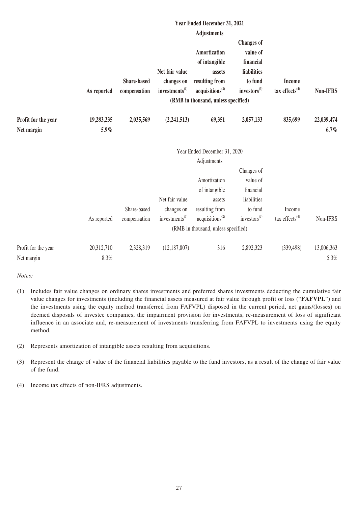|                                   |                    |                                    |                                          | Year Ended December 31, 2021                  |                                     |                                             |                 |
|-----------------------------------|--------------------|------------------------------------|------------------------------------------|-----------------------------------------------|-------------------------------------|---------------------------------------------|-----------------|
|                                   |                    |                                    |                                          | <b>Adjustments</b>                            |                                     |                                             |                 |
|                                   |                    |                                    |                                          |                                               | <b>Changes</b> of                   |                                             |                 |
|                                   |                    |                                    |                                          | Amortization                                  | value of                            |                                             |                 |
|                                   |                    |                                    |                                          | of intangible                                 | financial                           |                                             |                 |
|                                   |                    |                                    | Net fair value                           | assets                                        | liabilities                         |                                             |                 |
|                                   | As reported        | <b>Share-based</b><br>compensation | changes on<br>investments <sup>(1)</sup> | resulting from<br>acquisitions <sup>(2)</sup> | to fund<br>investors <sup>(3)</sup> | <b>Income</b><br>tax effects <sup>(4)</sup> | <b>Non-IFRS</b> |
|                                   |                    |                                    |                                          | (RMB in thousand, unless specified)           |                                     |                                             |                 |
|                                   |                    |                                    |                                          |                                               |                                     |                                             |                 |
| Profit for the year               | 19,283,235         | 2,035,569                          | (2,241,513)                              | 69,351                                        | 2,057,133                           | 835,699                                     | 22,039,474      |
| Net margin                        | 5.9%               |                                    |                                          |                                               |                                     |                                             | $6.7\%$         |
|                                   |                    |                                    |                                          | Year Ended December 31, 2020                  |                                     |                                             |                 |
|                                   |                    |                                    |                                          | Adjustments                                   |                                     |                                             |                 |
|                                   |                    |                                    |                                          |                                               | Changes of                          |                                             |                 |
|                                   |                    |                                    |                                          | Amortization                                  | value of                            |                                             |                 |
|                                   |                    |                                    |                                          | of intangible                                 | financial                           |                                             |                 |
|                                   |                    |                                    | Net fair value                           | assets                                        | liabilities                         |                                             |                 |
|                                   |                    | Share-based                        | changes on                               | resulting from                                | to fund                             | Income                                      |                 |
|                                   | As reported        | compensation                       | investments <sup>(1)</sup>               | acquisitions <sup>(2)</sup>                   | investors <sup>(3)</sup>            | tax effects <sup>(4)</sup>                  | Non-IFRS        |
|                                   |                    |                                    |                                          | (RMB in thousand, unless specified)           |                                     |                                             |                 |
|                                   |                    |                                    |                                          |                                               |                                     |                                             |                 |
|                                   |                    |                                    |                                          |                                               |                                     |                                             | 5.3%            |
| Profit for the year<br>Net margin | 20,312,710<br>8.3% | 2,328,319                          | (12, 187, 807)                           | 316                                           | 2,892,323                           | (339, 498)                                  | 13,006,363      |

*Notes:*

- (1) Includes fair value changes on ordinary shares investments and preferred shares investments deducting the cumulative fair value changes for investments (including the financial assets measured at fair value through profit or loss ("**FAFVPL**") and the investments using the equity method transferred from FAFVPL) disposed in the current period, net gains/(losses) on deemed disposals of investee companies, the impairment provision for investments, re-measurement of loss of significant influence in an associate and, re-measurement of investments transferring from FAFVPL to investments using the equity method.
- (2) Represents amortization of intangible assets resulting from acquisitions.
- (3) Represent the change of value of the financial liabilities payable to the fund investors, as a result of the change of fair value of the fund.
- (4) Income tax effects of non-IFRS adjustments.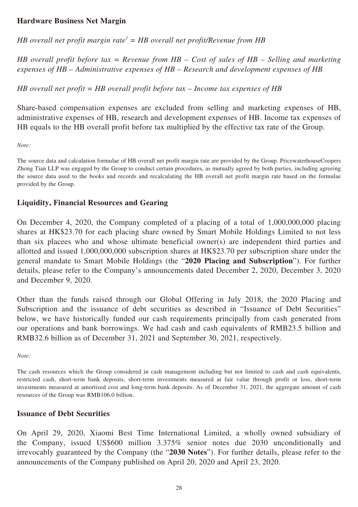### **Hardware Business Net Margin**

*HB overall net profit margin rate<sup>1</sup> = HB overall net profit/Revenue from HB*

*HB overall profit before tax = Revenue from HB – Cost of sales of HB – Selling and marketing expenses of HB – Administrative expenses of HB – Research and development expenses of HB*

*HB overall net profit = HB overall profit before tax – Income tax expenses of HB*

Share-based compensation expenses are excluded from selling and marketing expenses of HB, administrative expenses of HB, research and development expenses of HB. Income tax expenses of HB equals to the HB overall profit before tax multiplied by the effective tax rate of the Group.

*Note:*

The source data and calculation formulae of HB overall net profit margin rate are provided by the Group. PricewaterhouseCoopers Zhong Tian LLP was engaged by the Group to conduct certain procedures, as mutually agreed by both parties, including agreeing the source data used to the books and records and recalculating the HB overall net profit margin rate based on the formulae provided by the Group.

#### **Liquidity, Financial Resources and Gearing**

On December 4, 2020, the Company completed of a placing of a total of 1,000,000,000 placing shares at HK\$23.70 for each placing share owned by Smart Mobile Holdings Limited to not less than six placees who and whose ultimate beneficial owner(s) are independent third parties and allotted and issued 1,000,000,000 subscription shares at HK\$23.70 per subscription share under the general mandate to Smart Mobile Holdings (the "**2020 Placing and Subscription**"). For further details, please refer to the Company's announcements dated December 2, 2020, December 3, 2020 and December 9, 2020.

Other than the funds raised through our Global Offering in July 2018, the 2020 Placing and Subscription and the issuance of debt securities as described in "Issuance of Debt Securities" below, we have historically funded our cash requirements principally from cash generated from our operations and bank borrowings. We had cash and cash equivalents of RMB23.5 billion and RMB32.6 billion as of December 31, 2021 and September 30, 2021, respectively.

*Note:*

The cash resources which the Group considered in cash management including but not limited to cash and cash equivalents, restricted cash, short-term bank deposits, short-term investments measured at fair value through profit or loss, short-term investments measured at amortized cost and long-term bank deposits. As of December 31, 2021, the aggregate amount of cash resources of the Group was RMB106.0 billion.

#### **Issuance of Debt Securities**

On April 29, 2020, Xiaomi Best Time International Limited, a wholly owned subsidiary of the Company, issued US\$600 million 3.375% senior notes due 2030 unconditionally and irrevocably guaranteed by the Company (the "**2030 Notes**"). For further details, please refer to the announcements of the Company published on April 20, 2020 and April 23, 2020.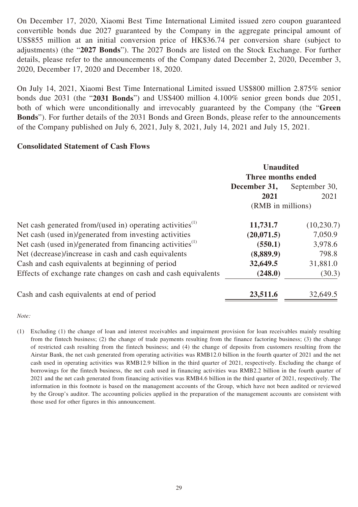On December 17, 2020, Xiaomi Best Time International Limited issued zero coupon guaranteed convertible bonds due 2027 guaranteed by the Company in the aggregate principal amount of US\$855 million at an initial conversion price of HK\$36.74 per conversion share (subject to adjustments) (the "**2027 Bonds**"). The 2027 Bonds are listed on the Stock Exchange. For further details, please refer to the announcements of the Company dated December 2, 2020, December 3, 2020, December 17, 2020 and December 18, 2020.

On July 14, 2021, Xiaomi Best Time International Limited issued US\$800 million 2.875% senior bonds due 2031 (the "**2031 Bonds**") and US\$400 million 4.100% senior green bonds due 2051, both of which were unconditionally and irrevocably guaranteed by the Company (the "**Green Bonds**"). For further details of the 2031 Bonds and Green Bonds, please refer to the announcements of the Company published on July 6, 2021, July 8, 2021, July 14, 2021 and July 15, 2021.

# **Consolidated Statement of Cash Flows**

|                                                                       | <b>Unaudited</b><br>Three months ended |               |
|-----------------------------------------------------------------------|----------------------------------------|---------------|
|                                                                       | December 31,                           | September 30, |
|                                                                       | 2021                                   | 2021          |
|                                                                       | (RMB in millions)                      |               |
| Net cash generated from/(used in) operating activities $^{(1)}$       | 11,731.7                               | (10, 230.7)   |
| Net cash (used in)/generated from investing activities                | (20, 071.5)                            | 7,050.9       |
| Net cash (used in)/generated from financing activities <sup>(1)</sup> | (550.1)                                | 3,978.6       |
| Net (decrease)/increase in cash and cash equivalents                  | (8,889.9)                              | 798.8         |
| Cash and cash equivalents at beginning of period                      | 32,649.5                               | 31,881.0      |
| Effects of exchange rate changes on cash and cash equivalents         | (248.0)                                | (30.3)        |
| Cash and cash equivalents at end of period                            | 23,511.6                               | 32,649.5      |

#### *Note:*

(1) Excluding (1) the change of loan and interest receivables and impairment provision for loan receivables mainly resulting from the fintech business; (2) the change of trade payments resulting from the finance factoring business; (3) the change of restricted cash resulting from the fintech business; and (4) the change of deposits from customers resulting from the Airstar Bank, the net cash generated from operating activities was RMB12.0 billion in the fourth quarter of 2021 and the net cash used in operating activities was RMB12.9 billion in the third quarter of 2021, respectively. Excluding the change of borrowings for the fintech business, the net cash used in financing activities was RMB2.2 billion in the fourth quarter of 2021 and the net cash generated from financing activities was RMB4.6 billion in the third quarter of 2021, respectively. The information in this footnote is based on the management accounts of the Group, which have not been audited or reviewed by the Group's auditor. The accounting policies applied in the preparation of the management accounts are consistent with those used for other figures in this announcement.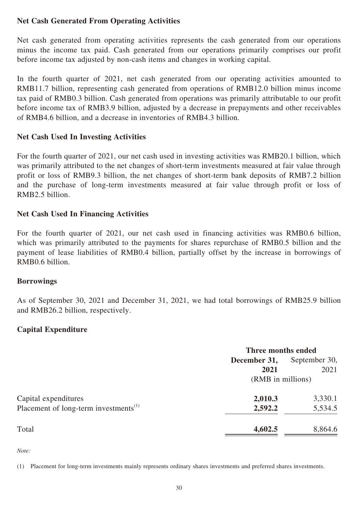# **Net Cash Generated From Operating Activities**

Net cash generated from operating activities represents the cash generated from our operations minus the income tax paid. Cash generated from our operations primarily comprises our profit before income tax adjusted by non-cash items and changes in working capital.

In the fourth quarter of 2021, net cash generated from our operating activities amounted to RMB11.7 billion, representing cash generated from operations of RMB12.0 billion minus income tax paid of RMB0.3 billion. Cash generated from operations was primarily attributable to our profit before income tax of RMB3.9 billion, adjusted by a decrease in prepayments and other receivables of RMB4.6 billion, and a decrease in inventories of RMB4.3 billion.

# **Net Cash Used In Investing Activities**

For the fourth quarter of 2021, our net cash used in investing activities was RMB20.1 billion, which was primarily attributed to the net changes of short-term investments measured at fair value through profit or loss of RMB9.3 billion, the net changes of short-term bank deposits of RMB7.2 billion and the purchase of long-term investments measured at fair value through profit or loss of RMB2.5 billion.

# **Net Cash Used In Financing Activities**

For the fourth quarter of 2021, our net cash used in financing activities was RMB0.6 billion, which was primarily attributed to the payments for shares repurchase of RMB0.5 billion and the payment of lease liabilities of RMB0.4 billion, partially offset by the increase in borrowings of RMB0.6 billion.

### **Borrowings**

As of September 30, 2021 and December 31, 2021, we had total borrowings of RMB25.9 billion and RMB26.2 billion, respectively.

# **Capital Expenditure**

|                                                   | Three months ended |               |  |
|---------------------------------------------------|--------------------|---------------|--|
|                                                   | December 31,       | September 30, |  |
|                                                   | 2021               | 2021          |  |
|                                                   | (RMB in millions)  |               |  |
| Capital expenditures                              | 2,010.3            | 3,330.1       |  |
| Placement of long-term investments <sup>(1)</sup> | 2,592.2            | 5,534.5       |  |
| Total                                             | 4,602.5            | 8,864.6       |  |

*Note:*

(1) Placement for long-term investments mainly represents ordinary shares investments and preferred shares investments.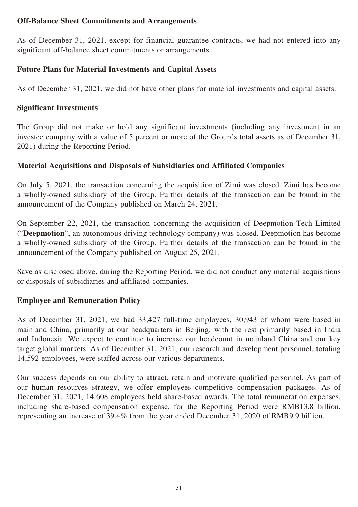# **Off-Balance Sheet Commitments and Arrangements**

As of December 31, 2021, except for financial guarantee contracts, we had not entered into any significant off-balance sheet commitments or arrangements.

# **Future Plans for Material Investments and Capital Assets**

As of December 31, 2021, we did not have other plans for material investments and capital assets.

# **Significant Investments**

The Group did not make or hold any significant investments (including any investment in an investee company with a value of 5 percent or more of the Group's total assets as of December 31, 2021) during the Reporting Period.

# **Material Acquisitions and Disposals of Subsidiaries and Affiliated Companies**

On July 5, 2021, the transaction concerning the acquisition of Zimi was closed. Zimi has become a wholly-owned subsidiary of the Group. Further details of the transaction can be found in the announcement of the Company published on March 24, 2021.

On September 22, 2021, the transaction concerning the acquisition of Deepmotion Tech Limited ("**Deepmotion**", an autonomous driving technology company) was closed. Deepmotion has become a wholly-owned subsidiary of the Group. Further details of the transaction can be found in the announcement of the Company published on August 25, 2021.

Save as disclosed above, during the Reporting Period, we did not conduct any material acquisitions or disposals of subsidiaries and affiliated companies.

# **Employee and Remuneration Policy**

As of December 31, 2021, we had 33,427 full-time employees, 30,943 of whom were based in mainland China, primarily at our headquarters in Beijing, with the rest primarily based in India and Indonesia. We expect to continue to increase our headcount in mainland China and our key target global markets. As of December 31, 2021, our research and development personnel, totaling 14,592 employees, were staffed across our various departments.

Our success depends on our ability to attract, retain and motivate qualified personnel. As part of our human resources strategy, we offer employees competitive compensation packages. As of December 31, 2021, 14,608 employees held share-based awards. The total remuneration expenses, including share-based compensation expense, for the Reporting Period were RMB13.8 billion, representing an increase of 39.4% from the year ended December 31, 2020 of RMB9.9 billion.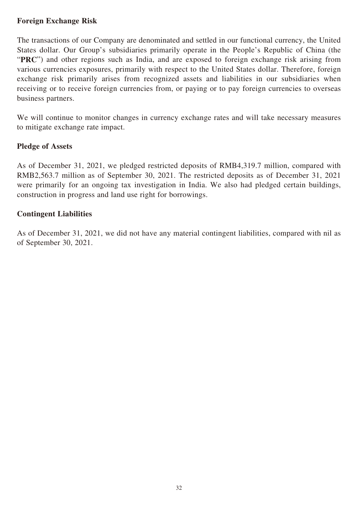# **Foreign Exchange Risk**

The transactions of our Company are denominated and settled in our functional currency, the United States dollar. Our Group's subsidiaries primarily operate in the People's Republic of China (the "PRC") and other regions such as India, and are exposed to foreign exchange risk arising from various currencies exposures, primarily with respect to the United States dollar. Therefore, foreign exchange risk primarily arises from recognized assets and liabilities in our subsidiaries when receiving or to receive foreign currencies from, or paying or to pay foreign currencies to overseas business partners.

We will continue to monitor changes in currency exchange rates and will take necessary measures to mitigate exchange rate impact.

### **Pledge of Assets**

As of December 31, 2021, we pledged restricted deposits of RMB4,319.7 million, compared with RMB2,563.7 million as of September 30, 2021. The restricted deposits as of December 31, 2021 were primarily for an ongoing tax investigation in India. We also had pledged certain buildings, construction in progress and land use right for borrowings.

### **Contingent Liabilities**

As of December 31, 2021, we did not have any material contingent liabilities, compared with nil as of September 30, 2021.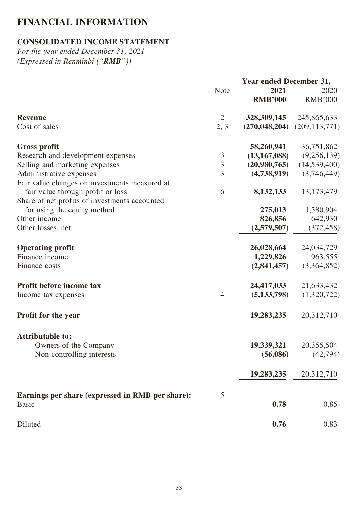# **FINANCIAL INFORMATION**

# **CONSOLIDATED INCOME STATEMENT**

*For the year ended December 31, 2021 (Expressed in Renminbi ("RMB"))*

|                                                  | <b>Year ended December 31,</b> |                 |                 |
|--------------------------------------------------|--------------------------------|-----------------|-----------------|
|                                                  | <b>Note</b>                    | 2021            | 2020            |
|                                                  |                                | <b>RMB'000</b>  | <b>RMB'000</b>  |
| <b>Revenue</b>                                   | $\overline{2}$                 | 328, 309, 145   | 245,865,633     |
| Cost of sales                                    | 2, 3                           | (270, 048, 204) | (209, 113, 771) |
| <b>Gross profit</b>                              |                                | 58,260,941      | 36,751,862      |
| Research and development expenses                | $\mathfrak{Z}$                 | (13, 167, 088)  | (9,256,139)     |
| Selling and marketing expenses                   | $\overline{3}$                 | (20,980,765)    | (14, 539, 400)  |
| Administrative expenses                          | 3                              | (4,738,919)     | (3,746,449)     |
| Fair value changes on investments measured at    |                                |                 |                 |
| fair value through profit or loss                | 6                              | 8,132,133       | 13, 173, 479    |
| Share of net profits of investments accounted    |                                |                 |                 |
| for using the equity method                      |                                | 275,013         | 1,380,904       |
| Other income                                     |                                | 826,856         | 642,930         |
| Other losses, net                                |                                | (2,579,507)     | (372, 458)      |
| <b>Operating profit</b>                          |                                | 26,028,664      | 24,034,729      |
| Finance income                                   |                                | 1,229,826       | 963,555         |
| Finance costs                                    |                                | (2,841,457)     | (3,364,852)     |
| Profit before income tax                         |                                | 24,417,033      | 21,633,432      |
| Income tax expenses                              | $\overline{4}$                 | (5, 133, 798)   | (1,320,722)     |
| <b>Profit for the year</b>                       |                                | 19,283,235      | 20,312,710      |
| <b>Attributable to:</b>                          |                                |                 |                 |
| — Owners of the Company                          |                                | 19,339,321      | 20,355,504      |
| — Non-controlling interests                      |                                | (56,086)        | (42, 794)       |
|                                                  |                                |                 |                 |
|                                                  |                                | 19,283,235      | 20,312,710      |
| Earnings per share (expressed in RMB per share): | 5                              |                 |                 |
| <b>Basic</b>                                     |                                | 0.78            | 0.85            |
| Diluted                                          |                                | 0.76            | 0.83            |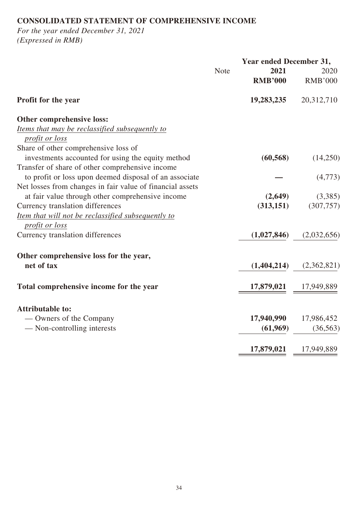# **CONSOLIDATED STATEMENT OF COMPREHENSIVE INCOME**

*For the year ended December 31, 2021 (Expressed in RMB)*

|                                                           | <b>Year ended December 31,</b> |                                 |                |
|-----------------------------------------------------------|--------------------------------|---------------------------------|----------------|
|                                                           | <b>Note</b>                    | 2021                            | 2020           |
|                                                           |                                | <b>RMB'000</b>                  | <b>RMB'000</b> |
| Profit for the year                                       |                                | 19,283,235                      | 20,312,710     |
| Other comprehensive loss:                                 |                                |                                 |                |
| Items that may be reclassified subsequently to            |                                |                                 |                |
| profit or loss                                            |                                |                                 |                |
| Share of other comprehensive loss of                      |                                |                                 |                |
| investments accounted for using the equity method         |                                | (60, 568)                       | (14,250)       |
| Transfer of share of other comprehensive income           |                                |                                 |                |
| to profit or loss upon deemed disposal of an associate    |                                |                                 | (4,773)        |
| Net losses from changes in fair value of financial assets |                                |                                 |                |
| at fair value through other comprehensive income          |                                | (2,649)                         | (3,385)        |
| Currency translation differences                          |                                | (313, 151)                      | (307, 757)     |
| Item that will not be reclassified subsequently to        |                                |                                 |                |
| <i>profit or loss</i>                                     |                                |                                 |                |
| Currency translation differences                          |                                | (1,027,846)                     | (2,032,656)    |
| Other comprehensive loss for the year,                    |                                |                                 |                |
| net of tax                                                |                                | (1,404,214)                     | (2,362,821)    |
| Total comprehensive income for the year                   |                                | $\frac{17,879,021}{17,949,889}$ |                |
|                                                           |                                |                                 |                |
| <b>Attributable to:</b>                                   |                                |                                 |                |
| — Owners of the Company                                   |                                | 17,940,990                      | 17,986,452     |
| — Non-controlling interests                               |                                | (61,969)                        | (36, 563)      |
|                                                           |                                | 17,879,021                      | 17,949,889     |
|                                                           |                                |                                 |                |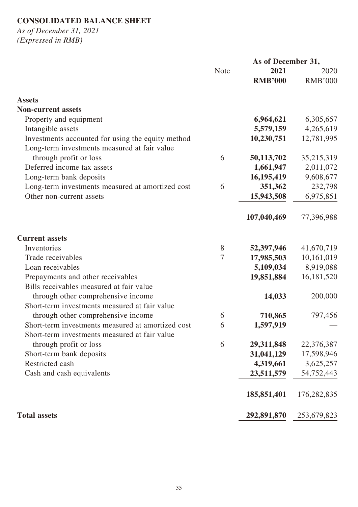# **CONSOLIDATED BALANCE SHEET**

*As of December 31, 2021 (Expressed in RMB)*

|                                                   | As of December 31, |                |                |
|---------------------------------------------------|--------------------|----------------|----------------|
|                                                   | <b>Note</b>        | 2021           | 2020           |
|                                                   |                    | <b>RMB'000</b> | <b>RMB'000</b> |
| <b>Assets</b>                                     |                    |                |                |
| <b>Non-current assets</b>                         |                    |                |                |
| Property and equipment                            |                    | 6,964,621      | 6,305,657      |
| Intangible assets                                 |                    | 5,579,159      | 4,265,619      |
| Investments accounted for using the equity method |                    | 10,230,751     | 12,781,995     |
| Long-term investments measured at fair value      |                    |                |                |
| through profit or loss                            | 6                  | 50,113,702     | 35,215,319     |
| Deferred income tax assets                        |                    | 1,661,947      | 2,011,072      |
| Long-term bank deposits                           |                    | 16,195,419     | 9,608,677      |
| Long-term investments measured at amortized cost  | 6                  | 351,362        | 232,798        |
| Other non-current assets                          |                    | 15,943,508     | 6,975,851      |
|                                                   |                    |                |                |
|                                                   |                    | 107,040,469    | 77,396,988     |
| <b>Current assets</b>                             |                    |                |                |
| Inventories                                       | 8                  | 52,397,946     | 41,670,719     |
| Trade receivables                                 | 7                  | 17,985,503     | 10,161,019     |
| Loan receivables                                  |                    | 5,109,034      | 8,919,088      |
| Prepayments and other receivables                 |                    | 19,851,884     | 16, 181, 520   |
| Bills receivables measured at fair value          |                    |                |                |
| through other comprehensive income                |                    | 14,033         | 200,000        |
| Short-term investments measured at fair value     |                    |                |                |
| through other comprehensive income                | 6                  | 710,865        | 797,456        |
| Short-term investments measured at amortized cost | 6                  | 1,597,919      |                |
| Short-term investments measured at fair value     |                    |                |                |
| through profit or loss                            | 6                  | 29,311,848     | 22,376,387     |
| Short-term bank deposits                          |                    | 31,041,129     | 17,598,946     |
| Restricted cash                                   |                    | 4,319,661      | 3,625,257      |
| Cash and cash equivalents                         |                    | 23,511,579     | 54,752,443     |
|                                                   |                    |                |                |
|                                                   |                    | 185,851,401    | 176,282,835    |
| <b>Total assets</b>                               |                    | 292,891,870    | 253,679,823    |
|                                                   |                    |                |                |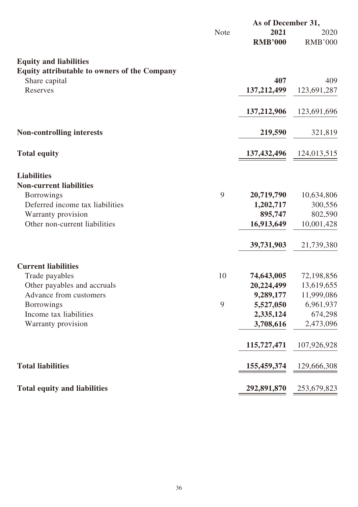|                                              |             | As of December 31, |                |
|----------------------------------------------|-------------|--------------------|----------------|
|                                              | <b>Note</b> | 2021               | 2020           |
|                                              |             | <b>RMB'000</b>     | <b>RMB'000</b> |
| <b>Equity and liabilities</b>                |             |                    |                |
| Equity attributable to owners of the Company |             |                    |                |
| Share capital                                |             | 407                | 409            |
| Reserves                                     |             | 137, 212, 499      | 123,691,287    |
|                                              |             | 137,212,906        | 123,691,696    |
| <b>Non-controlling interests</b>             |             | 219,590            | 321,819        |
|                                              |             |                    |                |
| <b>Total equity</b>                          |             | 137, 432, 496      | 124,013,515    |
| <b>Liabilities</b>                           |             |                    |                |
| <b>Non-current liabilities</b>               |             |                    |                |
| <b>Borrowings</b>                            | 9           | 20,719,790         | 10,634,806     |
| Deferred income tax liabilities              |             | 1,202,717          | 300,556        |
| Warranty provision                           |             | 895,747            | 802,590        |
| Other non-current liabilities                |             | 16,913,649         | 10,001,428     |
|                                              |             | 39,731,903         | 21,739,380     |
| <b>Current liabilities</b>                   |             |                    |                |
| Trade payables                               | 10          | 74,643,005         | 72,198,856     |
| Other payables and accruals                  |             | 20,224,499         | 13,619,655     |
| Advance from customers                       |             | 9,289,177          | 11,999,086     |
| <b>Borrowings</b>                            | 9           | 5,527,050          | 6,961,937      |
| Income tax liabilities                       |             | 2,335,124          | 674,298        |
| Warranty provision                           |             | 3,708,616          | 2,473,096      |
|                                              |             | 115,727,471        | 107,926,928    |
| <b>Total liabilities</b>                     |             | 155,459,374        | 129,666,308    |
| <b>Total equity and liabilities</b>          |             | 292,891,870        | 253,679,823    |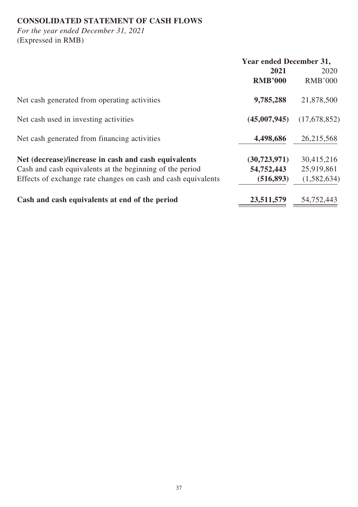# **CONSOLIDATED STATEMENT OF CASH FLOWS**

*For the year ended December 31, 2021* (Expressed in RMB)

|                                                               | <b>Year ended December 31,</b> |                |
|---------------------------------------------------------------|--------------------------------|----------------|
|                                                               | 2021                           | 2020           |
|                                                               | <b>RMB'000</b>                 | <b>RMB'000</b> |
| Net cash generated from operating activities                  | 9,785,288                      | 21,878,500     |
| Net cash used in investing activities                         | (45,007,945)                   | (17,678,852)   |
| Net cash generated from financing activities                  | 4,498,686                      | 26,215,568     |
| Net (decrease)/increase in cash and cash equivalents          | (30, 723, 971)                 | 30,415,216     |
| Cash and cash equivalents at the beginning of the period      | 54,752,443                     | 25,919,861     |
| Effects of exchange rate changes on cash and cash equivalents | (516, 893)                     | (1,582,634)    |
| Cash and cash equivalents at end of the period                | 23,511,579                     | 54,752,443     |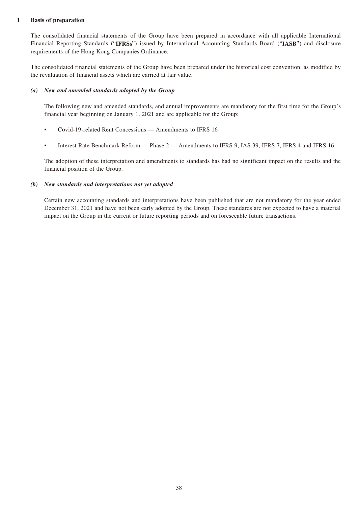#### **1 Basis of preparation**

The consolidated financial statements of the Group have been prepared in accordance with all applicable International Financial Reporting Standards ("**IFRSs**") issued by International Accounting Standards Board ("**IASB**") and disclosure requirements of the Hong Kong Companies Ordinance.

The consolidated financial statements of the Group have been prepared under the historical cost convention, as modified by the revaluation of financial assets which are carried at fair value.

#### *(a) New and amended standards adopted by the Group*

The following new and amended standards, and annual improvements are mandatory for the first time for the Group's financial year beginning on January 1, 2021 and are applicable for the Group:

- Covid-19-related Rent Concessions Amendments to IFRS 16
- Interest Rate Benchmark Reform Phase 2 Amendments to IFRS 9, IAS 39, IFRS 7, IFRS 4 and IFRS 16

The adoption of these interpretation and amendments to standards has had no significant impact on the results and the financial position of the Group.

#### *(b) New standards and interpretations not yet adopted*

Certain new accounting standards and interpretations have been published that are not mandatory for the year ended December 31, 2021 and have not been early adopted by the Group. These standards are not expected to have a material impact on the Group in the current or future reporting periods and on foreseeable future transactions.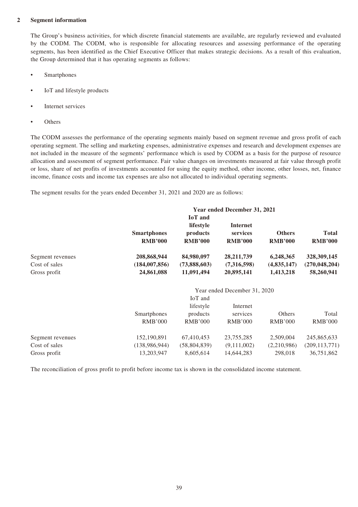#### **2 Segment information**

The Group's business activities, for which discrete financial statements are available, are regularly reviewed and evaluated by the CODM. The CODM, who is responsible for allocating resources and assessing performance of the operating segments, has been identified as the Chief Executive Officer that makes strategic decisions. As a result of this evaluation, the Group determined that it has operating segments as follows:

- Smartphones
- IoT and lifestyle products
- Internet services
- **Others**

The CODM assesses the performance of the operating segments mainly based on segment revenue and gross profit of each operating segment. The selling and marketing expenses, administrative expenses and research and development expenses are not included in the measure of the segments' performance which is used by CODM as a basis for the purpose of resource allocation and assessment of segment performance. Fair value changes on investments measured at fair value through profit or loss, share of net profits of investments accounted for using the equity method, other income, other losses, net, finance income, finance costs and income tax expenses are also not allocated to individual operating segments.

The segment results for the years ended December 31, 2021 and 2020 are as follows:

|                  |                                      |                                                           | Year ended December 31, 2021                  |                                 |                                |
|------------------|--------------------------------------|-----------------------------------------------------------|-----------------------------------------------|---------------------------------|--------------------------------|
|                  | <b>Smartphones</b><br><b>RMB'000</b> | <b>IoT</b> and<br>lifestyle<br>products<br><b>RMB'000</b> | <b>Internet</b><br>services<br><b>RMB'000</b> | <b>Others</b><br><b>RMB'000</b> | <b>Total</b><br><b>RMB'000</b> |
| Segment revenues | 208,868,944                          | 84,980,097                                                | 28, 211, 739                                  | 6,248,365                       | 328, 309, 145                  |
| Cost of sales    | (184, 007, 856)                      | (73,888,603)                                              | (7,316,598)                                   | (4,835,147)                     | (270, 048, 204)                |
| Gross profit     | 24,861,088                           | 11,091,494                                                | 20,895,141                                    | 1,413,218                       | 58,260,941                     |
|                  |                                      |                                                           | Year ended December 31, 2020                  |                                 |                                |
|                  |                                      | IoT and                                                   |                                               |                                 |                                |
|                  |                                      | lifestyle                                                 | Internet                                      |                                 |                                |
|                  | Smartphones                          | products                                                  | services                                      | Others                          | Total                          |
|                  | <b>RMB'000</b>                       | <b>RMB'000</b>                                            | <b>RMB'000</b>                                | <b>RMB'000</b>                  | <b>RMB'000</b>                 |
| Segment revenues | 152,190,891                          | 67,410,453                                                | 23,755,285                                    | 2,509,004                       | 245,865,633                    |
| Cost of sales    | (138,986,944)                        | (58, 804, 839)                                            | (9,111,002)                                   | (2,210,986)                     | (209, 113, 771)                |
| Gross profit     | 13,203,947                           | 8,605,614                                                 | 14,644,283                                    | 298,018                         | 36,751,862                     |

The reconciliation of gross profit to profit before income tax is shown in the consolidated income statement.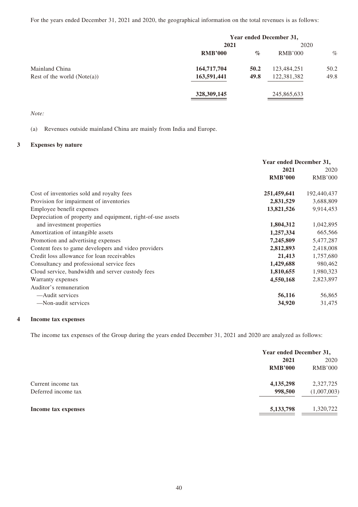For the years ended December 31, 2021 and 2020, the geographical information on the total revenues is as follows:

|                               |                |      | Year ended December 31, |      |
|-------------------------------|----------------|------|-------------------------|------|
|                               | 2021           |      |                         |      |
|                               | <b>RMB'000</b> | $\%$ | RMB'000                 | $\%$ |
| Mainland China                | 164,717,704    | 50.2 | 123,484,251             | 50.2 |
| Rest of the world $(Note(a))$ | 163,591,441    | 49.8 | 122,381,382             | 49.8 |
|                               | 328,309,145    |      | 245,865,633             |      |

*Note:*

(a) Revenues outside mainland China are mainly from India and Europe.

#### **3 Expenses by nature**

|                                                             | Year ended December 31, |                |
|-------------------------------------------------------------|-------------------------|----------------|
|                                                             | 2021                    |                |
|                                                             | <b>RMB'000</b>          | <b>RMB'000</b> |
| Cost of inventories sold and royalty fees                   | 251,459,641             | 192,440,437    |
| Provision for impairment of inventories                     | 2,831,529               | 3,688,809      |
| Employee benefit expenses                                   | 13,821,526              | 9,914,453      |
| Depreciation of property and equipment, right-of-use assets |                         |                |
| and investment properties                                   | 1,804,312               | 1,042,895      |
| Amortization of intangible assets                           | 1,257,334               | 665,566        |
| Promotion and advertising expenses                          | 7,245,809               | 5,477,287      |
| Content fees to game developers and video providers         | 2,812,893               | 2,418,008      |
| Credit loss allowance for loan receivables                  | 21,413                  | 1,757,680      |
| Consultancy and professional service fees                   | 1,429,688               | 980,462        |
| Cloud service, bandwidth and server custody fees            | 1,810,655               | 1,980,323      |
| Warranty expenses                                           | 4,550,168               | 2,823,897      |
| Auditor's remuneration                                      |                         |                |
| —Audit services                                             | 56,116                  | 56,865         |
| -Non-audit services                                         | 34,920                  | 31,475         |

#### **4 Income tax expenses**

The income tax expenses of the Group during the years ended December 31, 2021 and 2020 are analyzed as follows:

|                     | Year ended December 31, |             |
|---------------------|-------------------------|-------------|
|                     | 2021                    | 2020        |
|                     | <b>RMB'000</b>          | RMB'000     |
| Current income tax  | 4,135,298               | 2,327,725   |
| Deferred income tax | 998,500                 | (1,007,003) |
| Income tax expenses | 5,133,798               | 1,320,722   |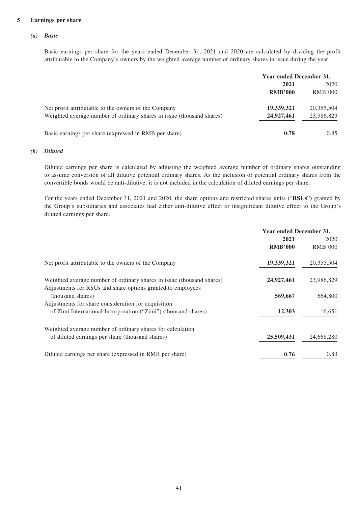#### **5 Earnings per share**

#### *(a) Basic*

Basic earnings per share for the years ended December 31, 2021 and 2020 are calculated by dividing the profit attributable to the Company's owners by the weighted average number of ordinary shares in issue during the year.

|                                                                       | Year ended December 31, |                |
|-----------------------------------------------------------------------|-------------------------|----------------|
|                                                                       | 2021                    | 2020           |
|                                                                       | <b>RMB'000</b>          | <b>RMB'000</b> |
| Net profit attributable to the owners of the Company                  | 19,339,321              | 20,355,504     |
| Weighted average number of ordinary shares in issue (thousand shares) | 24,927,461              | 23,986,829     |
| Basic earnings per share (expressed in RMB per share)                 | 0.78                    | 0.85           |

#### *(b) Diluted*

Diluted earnings per share is calculated by adjusting the weighted average number of ordinary shares outstanding to assume conversion of all dilutive potential ordinary shares. As the inclusion of potential ordinary shares from the convertible bonds would be anti-dilutive, it is not included in the calculation of diluted earnings per share.

For the years ended December 31, 2021 and 2020, the share options and restricted shares units ("**RSUs**") granted by the Group's subsidiaries and associates had either anti-dilutive effect or insignificant dilutive effect to the Group's diluted earnings per share.

|                                                                                  | Year ended December 31, |                |
|----------------------------------------------------------------------------------|-------------------------|----------------|
|                                                                                  | 2021                    | 2020           |
|                                                                                  | <b>RMB'000</b>          | <b>RMB'000</b> |
| Net profit attributable to the owners of the Company                             | 19,339,321              | 20,355,504     |
| Weighted average number of ordinary shares in issue (thousand shares)            | 24,927,461              | 23,986,829     |
| Adjustments for RSUs and share options granted to employees<br>(thousand shares) | 569,667                 | 664,800        |
| Adjustments for share consideration for acquisition                              |                         |                |
| of Zimi International Incorporation ("Zimi") (thousand shares)                   | 12,303                  | 16,651         |
| Weighted average number of ordinary shares for calculation                       |                         |                |
| of diluted earnings per share (thousand shares)                                  | 25,509,431              | 24,668,280     |
| Diluted earnings per share (expressed in RMB per share)                          | 0.76                    | 0.83           |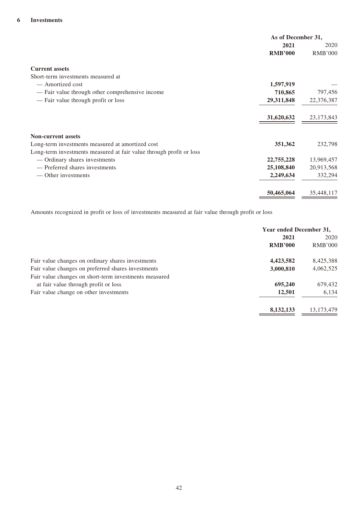|                                                                     | As of December 31, |                |
|---------------------------------------------------------------------|--------------------|----------------|
|                                                                     | 2021               | 2020           |
|                                                                     | <b>RMB'000</b>     | <b>RMB'000</b> |
| <b>Current assets</b>                                               |                    |                |
| Short-term investments measured at                                  |                    |                |
| — Amortized cost                                                    | 1,597,919          |                |
| — Fair value through other comprehensive income                     | 710,865            | 797,456        |
| - Fair value through profit or loss                                 | 29,311,848         | 22,376,387     |
|                                                                     | 31,620,632         | 23,173,843     |
| <b>Non-current assets</b>                                           |                    |                |
| Long-term investments measured at amortized cost                    | 351,362            | 232,798        |
| Long-term investments measured at fair value through profit or loss |                    |                |
| — Ordinary shares investments                                       | 22,755,228         | 13,969,457     |
| — Preferred shares investments                                      | 25,108,840         | 20,913,568     |
| — Other investments                                                 | 2,249,634          | 332,294        |
|                                                                     | 50,465,064         | 35,448,117     |

Amounts recognized in profit or loss of investments measured at fair value through profit or loss

|                                                       | Year ended December 31, |                |
|-------------------------------------------------------|-------------------------|----------------|
|                                                       | 2021                    | 2020           |
|                                                       | <b>RMB'000</b>          | <b>RMB'000</b> |
| Fair value changes on ordinary shares investments     | 4,423,582               | 8,425,388      |
| Fair value changes on preferred shares investments    | 3,000,810               | 4,062,525      |
| Fair value changes on short-term investments measured |                         |                |
| at fair value through profit or loss                  | 695,240                 | 679,432        |
| Fair value change on other investments                | 12,501                  | 6,134          |
|                                                       | 8,132,133               | 13, 173, 479   |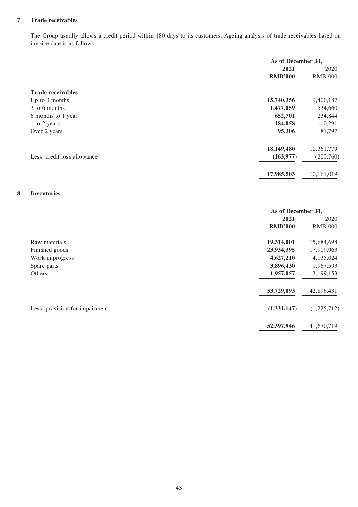#### **7 Trade receivables**

The Group usually allows a credit period within 180 days to its customers. Ageing analysis of trade receivables based on invoice date is as follows:

|                             | As of December 31, |                |
|-----------------------------|--------------------|----------------|
|                             | 2021               | 2020           |
|                             | <b>RMB'000</b>     | <b>RMB'000</b> |
| <b>Trade receivables</b>    |                    |                |
| Up to 3 months              | 15,740,356         | 9,400,187      |
| 3 to 6 months               | 1,477,059          | 534,660        |
| 6 months to 1 year          | 652,701            | 234,844        |
| 1 to 2 years                | 184,058            | 110,291        |
| Over 2 years                | 95,306             | 81,797         |
|                             | 18,149,480         | 10,361,779     |
| Less: credit loss allowance | (163, 977)         | (200,760)      |
|                             | 17,985,503         | 10,161,019     |

#### **8 Inventories**

|                                | As of December 31, |                |
|--------------------------------|--------------------|----------------|
|                                | 2021               | 2020           |
|                                | <b>RMB'000</b>     | <b>RMB'000</b> |
| Raw materials                  | 19,314,001         | 15,684,698     |
| Finished goods                 | 23,934,395         | 17,909,963     |
| Work in progress               | 4,627,210          | 4,135,024      |
| Spare parts                    | 3,896,430          | 1,967,593      |
| Others                         | 1,957,057          | 3,199,153      |
|                                | 53,729,093         | 42,896,431     |
| Less: provision for impairment | (1,331,147)        | (1,225,712)    |
|                                | 52,397,946         | 41,670,719     |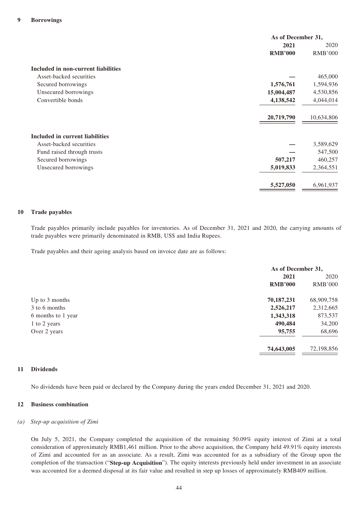|                                     | As of December 31, |                |
|-------------------------------------|--------------------|----------------|
|                                     | 2021               | 2020           |
|                                     | <b>RMB'000</b>     | <b>RMB'000</b> |
| Included in non-current liabilities |                    |                |
| Asset-backed securities             |                    | 465,000        |
| Secured borrowings                  | 1,576,761          | 1,594,936      |
| Unsecured borrowings                | 15,004,487         | 4,530,856      |
| Convertible bonds                   | 4,138,542          | 4,044,014      |
|                                     | 20,719,790         | 10,634,806     |
| Included in current liabilities     |                    |                |
| Asset-backed securities             |                    | 3,589,629      |
| Fund raised through trusts          |                    | 547,500        |
| Secured borrowings                  | 507,217            | 460,257        |
| Unsecured borrowings                | 5,019,833          | 2,364,551      |
|                                     | 5,527,050          | 6,961,937      |

#### **10 Trade payables**

Trade payables primarily include payables for inventories. As of December 31, 2021 and 2020, the carrying amounts of trade payables were primarily denominated in RMB, US\$ and India Rupees.

Trade payables and their ageing analysis based on invoice date are as follows:

|                    |                | As of December 31, |  |
|--------------------|----------------|--------------------|--|
|                    | 2021           | 2020               |  |
|                    | <b>RMB'000</b> | <b>RMB'000</b>     |  |
| Up to 3 months     | 70,187,231     | 68,909,758         |  |
| 3 to 6 months      | 2,526,217      | 2,312,665          |  |
| 6 months to 1 year | 1,343,318      | 873,537            |  |
| 1 to 2 years       | 490,484        | 34,200             |  |
| Over 2 years       | 95,755         | 68,696             |  |
|                    | 74,643,005     | 72,198,856         |  |

#### **11 Dividends**

No dividends have been paid or declared by the Company during the years ended December 31, 2021 and 2020.

#### **12 Business combination**

#### *(a) Step-up acquisition of Zimi*

On July 5, 2021, the Company completed the acquisition of the remaining 50.09% equity interest of Zimi at a total consideration of approximately RMB1,461 million. Prior to the above acquisition, the Company held 49.91% equity interests of Zimi and accounted for as an associate. As a result, Zimi was accounted for as a subsidiary of the Group upon the completion of the transaction ("**Step-up Acquisition**"). The equity interests previously held under investment in an associate was accounted for a deemed disposal at its fair value and resulted in step up losses of approximately RMB409 million.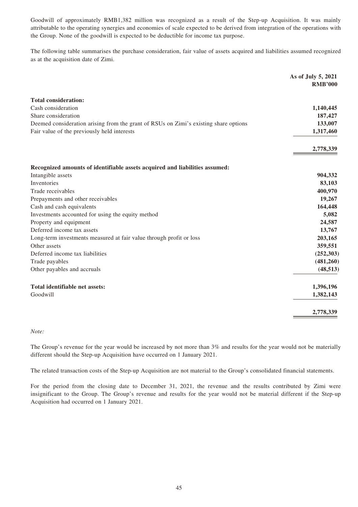Goodwill of approximately RMB1,382 million was recognized as a result of the Step-up Acquisition. It was mainly attributable to the operating synergies and economies of scale expected to be derived from integration of the operations with the Group. None of the goodwill is expected to be deductible for income tax purpose.

The following table summarises the purchase consideration, fair value of assets acquired and liabilities assumed recognized as at the acquisition date of Zimi.

|                                                                                      | As of July 5, 2021<br><b>RMB'000</b> |
|--------------------------------------------------------------------------------------|--------------------------------------|
| <b>Total consideration:</b>                                                          |                                      |
| Cash consideration                                                                   | 1,140,445                            |
| Share consideration                                                                  | 187,427                              |
| Deemed consideration arising from the grant of RSUs on Zimi's existing share options | 133,007                              |
| Fair value of the previously held interests                                          | 1,317,460                            |
|                                                                                      | 2,778,339                            |
| Recognized amounts of identifiable assets acquired and liabilities assumed:          |                                      |
| Intangible assets                                                                    | 904,332                              |
| Inventories                                                                          | 83,103                               |
| Trade receivables                                                                    | 400,970                              |
| Prepayments and other receivables                                                    | 19,267                               |
| Cash and cash equivalents                                                            | 164,448                              |
| Investments accounted for using the equity method                                    | 5,082                                |
| Property and equipment                                                               | 24,587                               |
| Deferred income tax assets                                                           | 13,767                               |
| Long-term investments measured at fair value through profit or loss                  | 203,165                              |
| Other assets                                                                         | 359,551                              |
| Deferred income tax liabilities                                                      | (252, 303)                           |
| Trade payables                                                                       | (481, 260)                           |
| Other payables and accruals                                                          | (48, 513)                            |
| Total identifiable net assets:                                                       | 1,396,196                            |
| Goodwill                                                                             | 1,382,143                            |
|                                                                                      | 2,778,339                            |

#### *Note:*

The Group's revenue for the year would be increased by not more than 3% and results for the year would not be materially different should the Step-up Acquisition have occurred on 1 January 2021.

The related transaction costs of the Step-up Acquisition are not material to the Group's consolidated financial statements.

For the period from the closing date to December 31, 2021, the revenue and the results contributed by Zimi were insignificant to the Group. The Group's revenue and results for the year would not be material different if the Step-up Acquisition had occurred on 1 January 2021.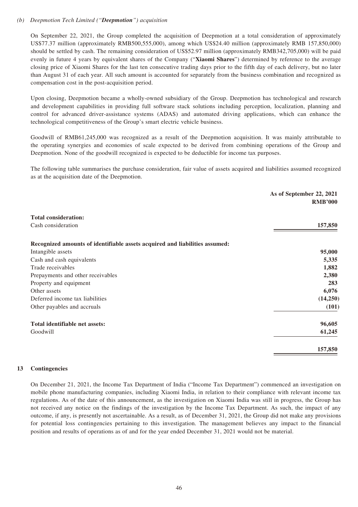#### *(b) Deepmotion Tech Limited ("Deepmotion") acquisition*

On September 22, 2021, the Group completed the acquisition of Deepmotion at a total consideration of approximately US\$77.37 million (approximately RMB500,555,000), among which US\$24.40 million (approximately RMB 157,850,000) should be settled by cash. The remaining consideration of US\$52.97 million (approximately RMB342,705,000) will be paid evenly in future 4 years by equivalent shares of the Company ("**Xiaomi Shares**") determined by reference to the average closing price of Xiaomi Shares for the last ten consecutive trading days prior to the fifth day of each delivery, but no later than August 31 of each year. All such amount is accounted for separately from the business combination and recognized as compensation cost in the post-acquisition period.

Upon closing, Deepmotion became a wholly-owned subsidiary of the Group. Deepmotion has technological and research and development capabilities in providing full software stack solutions including perception, localization, planning and control for advanced driver-assistance systems (ADAS) and automated driving applications, which can enhance the technological competitiveness of the Group's smart electric vehicle business.

Goodwill of RMB61,245,000 was recognized as a result of the Deepmotion acquisition. It was mainly attributable to the operating synergies and economies of scale expected to be derived from combining operations of the Group and Deepmotion. None of the goodwill recognized is expected to be deductible for income tax purposes.

The following table summarises the purchase consideration, fair value of assets acquired and liabilities assumed recognized as at the acquisition date of the Deepmotion.

|                                                                             | As of September 22, 2021 |
|-----------------------------------------------------------------------------|--------------------------|
|                                                                             | <b>RMB'000</b>           |
| <b>Total consideration:</b>                                                 |                          |
| Cash consideration                                                          | 157,850                  |
| Recognized amounts of identifiable assets acquired and liabilities assumed: |                          |
| Intangible assets                                                           | 95,000                   |
| Cash and cash equivalents                                                   | 5,335                    |
| Trade receivables                                                           | 1,882                    |
| Prepayments and other receivables                                           | 2,380                    |
| Property and equipment                                                      | 283                      |
| Other assets                                                                | 6,076                    |
| Deferred income tax liabilities                                             | (14,250)                 |
| Other payables and accruals                                                 | (101)                    |
| Total identifiable net assets:                                              | 96,605                   |
| Goodwill                                                                    | 61,245                   |
|                                                                             | 157,850                  |

#### **13 Contingencies**

On December 21, 2021, the Income Tax Department of India ("Income Tax Department") commenced an investigation on mobile phone manufacturing companies, including Xiaomi India, in relation to their compliance with relevant income tax regulations. As of the date of this announcement, as the investigation on Xiaomi India was still in progress, the Group has not received any notice on the findings of the investigation by the Income Tax Department. As such, the impact of any outcome, if any, is presently not ascertainable. As a result, as of December 31, 2021, the Group did not make any provisions for potential loss contingencies pertaining to this investigation. The management believes any impact to the financial position and results of operations as of and for the year ended December 31, 2021 would not be material.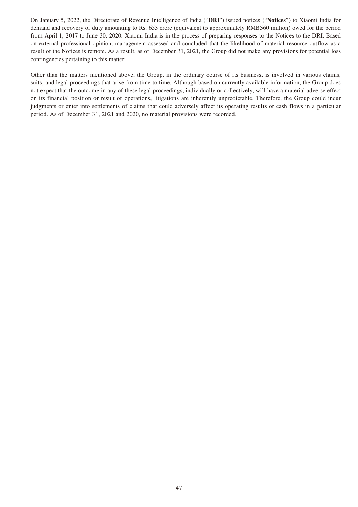On January 5, 2022, the Directorate of Revenue Intelligence of India ("**DRI**") issued notices ("**Notices**") to Xiaomi India for demand and recovery of duty amounting to Rs. 653 crore (equivalent to approximately RMB560 million) owed for the period from April 1, 2017 to June 30, 2020. Xiaomi India is in the process of preparing responses to the Notices to the DRI. Based on external professional opinion, management assessed and concluded that the likelihood of material resource outflow as a result of the Notices is remote. As a result, as of December 31, 2021, the Group did not make any provisions for potential loss contingencies pertaining to this matter.

Other than the matters mentioned above, the Group, in the ordinary course of its business, is involved in various claims, suits, and legal proceedings that arise from time to time. Although based on currently available information, the Group does not expect that the outcome in any of these legal proceedings, individually or collectively, will have a material adverse effect on its financial position or result of operations, litigations are inherently unpredictable. Therefore, the Group could incur judgments or enter into settlements of claims that could adversely affect its operating results or cash flows in a particular period. As of December 31, 2021 and 2020, no material provisions were recorded.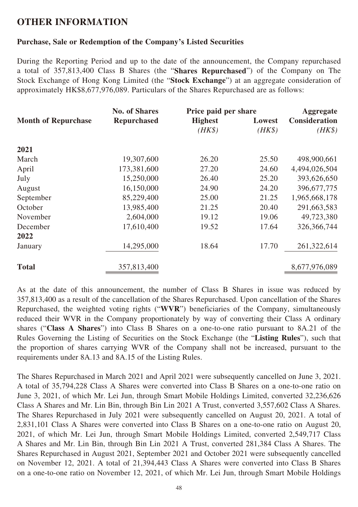# **OTHER INFORMATION**

# **Purchase, Sale or Redemption of the Company's Listed Securities**

During the Reporting Period and up to the date of the announcement, the Company repurchased a total of 357,813,400 Class B Shares (the "**Shares Repurchased**") of the Company on The Stock Exchange of Hong Kong Limited (the "**Stock Exchange**") at an aggregate consideration of approximately HK\$8,677,976,089. Particulars of the Shares Repurchased are as follows:

|                            | <b>No. of Shares</b> | Price paid per share |        |                      |  |
|----------------------------|----------------------|----------------------|--------|----------------------|--|
| <b>Month of Repurchase</b> | <b>Repurchased</b>   | <b>Highest</b>       | Lowest | <b>Consideration</b> |  |
|                            |                      | $(HK\$               | $(HK\$ | $(HK\$               |  |
| 2021                       |                      |                      |        |                      |  |
| March                      | 19,307,600           | 26.20                | 25.50  | 498,900,661          |  |
| April                      | 173,381,600          | 27.20                | 24.60  | 4,494,026,504        |  |
| July                       | 15,250,000           | 26.40                | 25.20  | 393,626,650          |  |
| August                     | 16,150,000           | 24.90                | 24.20  | 396, 677, 775        |  |
| September                  | 85,229,400           | 25.00                | 21.25  | 1,965,668,178        |  |
| October                    | 13,985,400           | 21.25                | 20.40  | 291,663,583          |  |
| November                   | 2,604,000            | 19.12                | 19.06  | 49,723,380           |  |
| December                   | 17,610,400           | 19.52                | 17.64  | 326,366,744          |  |
| 2022                       |                      |                      |        |                      |  |
| January                    | 14,295,000           | 18.64                | 17.70  | 261,322,614          |  |
| <b>Total</b>               | 357,813,400          |                      |        | 8,677,976,089        |  |

As at the date of this announcement, the number of Class B Shares in issue was reduced by 357,813,400 as a result of the cancellation of the Shares Repurchased. Upon cancellation of the Shares Repurchased, the weighted voting rights ("**WVR**") beneficiaries of the Company, simultaneously reduced their WVR in the Company proportionately by way of converting their Class A ordinary shares ("**Class A Shares**") into Class B Shares on a one-to-one ratio pursuant to 8A.21 of the Rules Governing the Listing of Securities on the Stock Exchange (the "**Listing Rules**"), such that the proportion of shares carrying WVR of the Company shall not be increased, pursuant to the requirements under 8A.13 and 8A.15 of the Listing Rules.

The Shares Repurchased in March 2021 and April 2021 were subsequently cancelled on June 3, 2021. A total of 35,794,228 Class A Shares were converted into Class B Shares on a one-to-one ratio on June 3, 2021, of which Mr. Lei Jun, through Smart Mobile Holdings Limited, converted 32,236,626 Class A Shares and Mr. Lin Bin, through Bin Lin 2021 A Trust, converted 3,557,602 Class A Shares. The Shares Repurchased in July 2021 were subsequently cancelled on August 20, 2021. A total of 2,831,101 Class A Shares were converted into Class B Shares on a one-to-one ratio on August 20, 2021, of which Mr. Lei Jun, through Smart Mobile Holdings Limited, converted 2,549,717 Class A Shares and Mr. Lin Bin, through Bin Lin 2021 A Trust, converted 281,384 Class A Shares. The Shares Repurchased in August 2021, September 2021 and October 2021 were subsequently cancelled on November 12, 2021. A total of 21,394,443 Class A Shares were converted into Class B Shares on a one-to-one ratio on November 12, 2021, of which Mr. Lei Jun, through Smart Mobile Holdings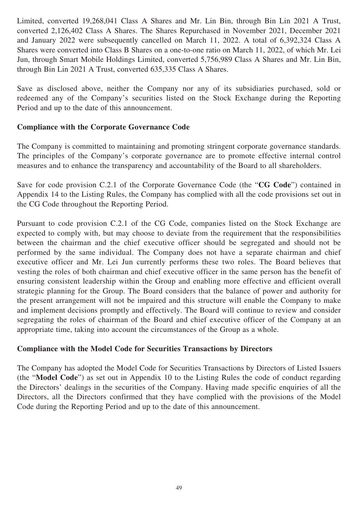Limited, converted 19,268,041 Class A Shares and Mr. Lin Bin, through Bin Lin 2021 A Trust, converted 2,126,402 Class A Shares. The Shares Repurchased in November 2021, December 2021 and January 2022 were subsequently cancelled on March 11, 2022. A total of 6,392,324 Class A Shares were converted into Class B Shares on a one-to-one ratio on March 11, 2022, of which Mr. Lei Jun, through Smart Mobile Holdings Limited, converted 5,756,989 Class A Shares and Mr. Lin Bin, through Bin Lin 2021 A Trust, converted 635,335 Class A Shares.

Save as disclosed above, neither the Company nor any of its subsidiaries purchased, sold or redeemed any of the Company's securities listed on the Stock Exchange during the Reporting Period and up to the date of this announcement.

# **Compliance with the Corporate Governance Code**

The Company is committed to maintaining and promoting stringent corporate governance standards. The principles of the Company's corporate governance are to promote effective internal control measures and to enhance the transparency and accountability of the Board to all shareholders.

Save for code provision C.2.1 of the Corporate Governance Code (the "**CG Code**") contained in Appendix 14 to the Listing Rules, the Company has complied with all the code provisions set out in the CG Code throughout the Reporting Period.

Pursuant to code provision C.2.1 of the CG Code, companies listed on the Stock Exchange are expected to comply with, but may choose to deviate from the requirement that the responsibilities between the chairman and the chief executive officer should be segregated and should not be performed by the same individual. The Company does not have a separate chairman and chief executive officer and Mr. Lei Jun currently performs these two roles. The Board believes that vesting the roles of both chairman and chief executive officer in the same person has the benefit of ensuring consistent leadership within the Group and enabling more effective and efficient overall strategic planning for the Group. The Board considers that the balance of power and authority for the present arrangement will not be impaired and this structure will enable the Company to make and implement decisions promptly and effectively. The Board will continue to review and consider segregating the roles of chairman of the Board and chief executive officer of the Company at an appropriate time, taking into account the circumstances of the Group as a whole.

# **Compliance with the Model Code for Securities Transactions by Directors**

The Company has adopted the Model Code for Securities Transactions by Directors of Listed Issuers (the "**Model Code**") as set out in Appendix 10 to the Listing Rules the code of conduct regarding the Directors' dealings in the securities of the Company. Having made specific enquiries of all the Directors, all the Directors confirmed that they have complied with the provisions of the Model Code during the Reporting Period and up to the date of this announcement.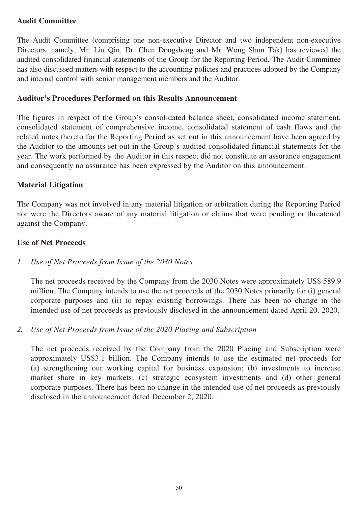# **Audit Committee**

The Audit Committee (comprising one non-executive Director and two independent non-executive Directors, namely, Mr. Liu Qin, Dr. Chen Dongsheng and Mr. Wong Shun Tak) has reviewed the audited consolidated financial statements of the Group for the Reporting Period. The Audit Committee has also discussed matters with respect to the accounting policies and practices adopted by the Company and internal control with senior management members and the Auditor.

# **Auditor's Procedures Performed on this Results Announcement**

The figures in respect of the Group's consolidated balance sheet, consolidated income statement, consolidated statement of comprehensive income, consolidated statement of cash flows and the related notes thereto for the Reporting Period as set out in this announcement have been agreed by the Auditor to the amounts set out in the Group's audited consolidated financial statements for the year. The work performed by the Auditor in this respect did not constitute an assurance engagement and consequently no assurance has been expressed by the Auditor on this announcement.

# **Material Litigation**

The Company was not involved in any material litigation or arbitration during the Reporting Period nor were the Directors aware of any material litigation or claims that were pending or threatened against the Company.

# **Use of Net Proceeds**

# *1. Use of Net Proceeds from Issue of the 2030 Notes*

The net proceeds received by the Company from the 2030 Notes were approximately US\$ 589.9 million. The Company intends to use the net proceeds of the 2030 Notes primarily for (i) general corporate purposes and (ii) to repay existing borrowings. There has been no change in the intended use of net proceeds as previously disclosed in the announcement dated April 20, 2020.

# *2. Use of Net Proceeds from Issue of the 2020 Placing and Subscription*

The net proceeds received by the Company from the 2020 Placing and Subscription were approximately US\$3.1 billion. The Company intends to use the estimated net proceeds for (a) strengthening our working capital for business expansion; (b) investments to increase market share in key markets; (c) strategic ecosystem investments and (d) other general corporate purposes. There has been no change in the intended use of net proceeds as previously disclosed in the announcement dated December 2, 2020.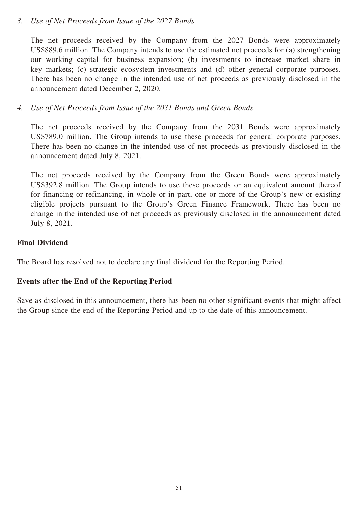# *3. Use of Net Proceeds from Issue of the 2027 Bonds*

The net proceeds received by the Company from the 2027 Bonds were approximately US\$889.6 million. The Company intends to use the estimated net proceeds for (a) strengthening our working capital for business expansion; (b) investments to increase market share in key markets; (c) strategic ecosystem investments and (d) other general corporate purposes. There has been no change in the intended use of net proceeds as previously disclosed in the announcement dated December 2, 2020.

# *4. Use of Net Proceeds from Issue of the 2031 Bonds and Green Bonds*

The net proceeds received by the Company from the 2031 Bonds were approximately US\$789.0 million. The Group intends to use these proceeds for general corporate purposes. There has been no change in the intended use of net proceeds as previously disclosed in the announcement dated July 8, 2021.

The net proceeds received by the Company from the Green Bonds were approximately US\$392.8 million. The Group intends to use these proceeds or an equivalent amount thereof for financing or refinancing, in whole or in part, one or more of the Group's new or existing eligible projects pursuant to the Group's Green Finance Framework. There has been no change in the intended use of net proceeds as previously disclosed in the announcement dated July 8, 2021.

### **Final Dividend**

The Board has resolved not to declare any final dividend for the Reporting Period.

# **Events after the End of the Reporting Period**

Save as disclosed in this announcement, there has been no other significant events that might affect the Group since the end of the Reporting Period and up to the date of this announcement.